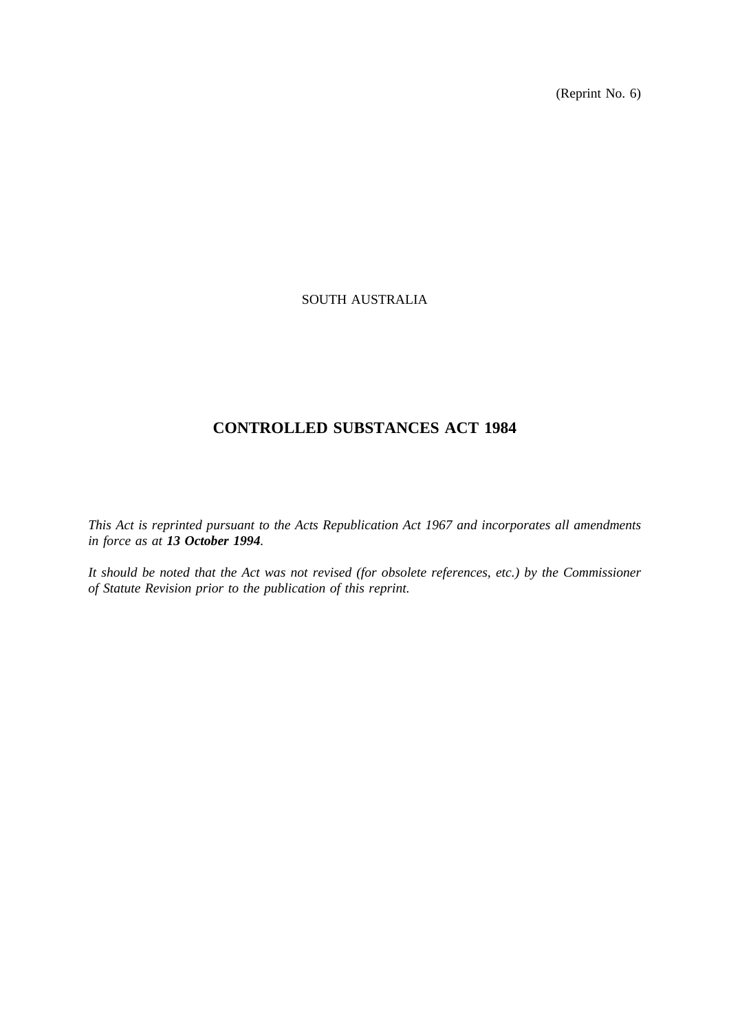(Reprint No. 6)

# SOUTH AUSTRALIA

# **CONTROLLED SUBSTANCES ACT 1984**

*This Act is reprinted pursuant to the Acts Republication Act 1967 and incorporates all amendments in force as at 13 October 1994.*

*It should be noted that the Act was not revised (for obsolete references, etc.) by the Commissioner of Statute Revision prior to the publication of this reprint.*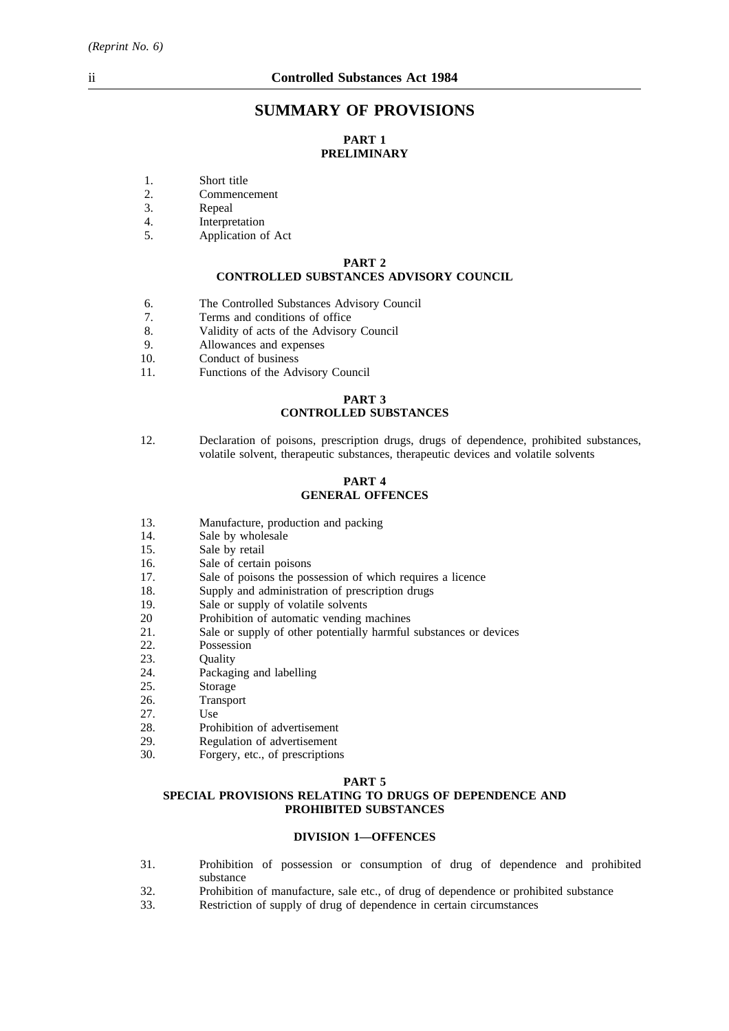# **SUMMARY OF PROVISIONS**

## **PART 1 PRELIMINARY**

- 1. Short title<br>2. Commence
- 2. Commencement<br>3. Repeal
- 3. Repeal
- 4. Interpretation
- 5. Application of Act

#### **PART 2 CONTROLLED SUBSTANCES ADVISORY COUNCIL**

- 6. The Controlled Substances Advisory Council
- 7. Terms and conditions of office<br>8 Validity of acts of the Advisory
- 8. Validity of acts of the Advisory Council
- 9. Allowances and expenses
- 10. Conduct of business
- 11. Functions of the Advisory Council

# **PART 3**

## **CONTROLLED SUBSTANCES**

12. Declaration of poisons, prescription drugs, drugs of dependence, prohibited substances, volatile solvent, therapeutic substances, therapeutic devices and volatile solvents

#### **PART 4 GENERAL OFFENCES**

- 13. Manufacture, production and packing
- 14. Sale by wholesale
- 15. Sale by retail
- 16. Sale of certain poisons
- 17. Sale of poisons the possession of which requires a licence
- 18. Supply and administration of prescription drugs
- 19. Sale or supply of volatile solvents
- 20 Prohibition of automatic vending machines
- 21. Sale or supply of other potentially harmful substances or devices
- 22. Possession
- 23. Quality
- 24. Packaging and labelling
- 25. Storage
- 26. Transport
- 27. Use
- 28. Prohibition of advertisement
- 29. Regulation of advertisement
- 30. Forgery, etc., of prescriptions

#### **PART 5**

#### **SPECIAL PROVISIONS RELATING TO DRUGS OF DEPENDENCE AND PROHIBITED SUBSTANCES**

## **DIVISION 1—OFFENCES**

- 31. Prohibition of possession or consumption of drug of dependence and prohibited substance
- 32. Prohibition of manufacture, sale etc., of drug of dependence or prohibited substance<br>33. Restriction of supply of drug of dependence in certain circumstances
- Restriction of supply of drug of dependence in certain circumstances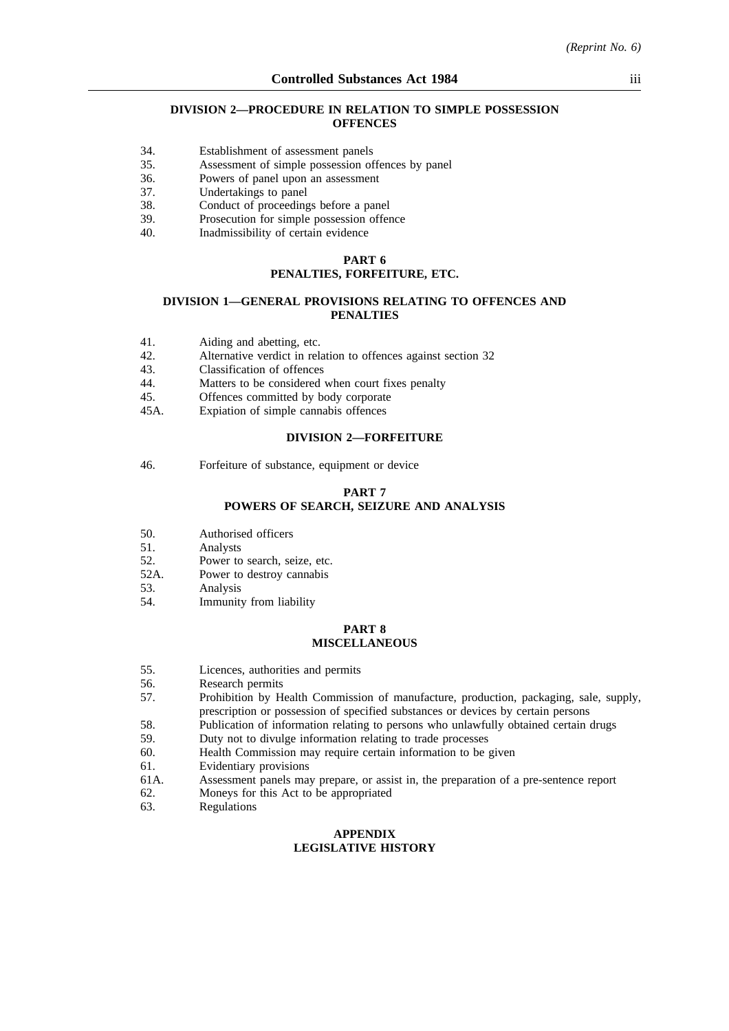#### **DIVISION 2—PROCEDURE IN RELATION TO SIMPLE POSSESSION OFFENCES**

- 34. Establishment of assessment panels
- 35. Assessment of simple possession offences by panel
- 36. Powers of panel upon an assessment
- 37. Undertakings to panel
- 38. Conduct of proceedings before a panel
- 39. Prosecution for simple possession offence
- 40. Inadmissibility of certain evidence

## **PART 6**

# **PENALTIES, FORFEITURE, ETC.**

#### **DIVISION 1—GENERAL PROVISIONS RELATING TO OFFENCES AND PENALTIES**

- 41. Aiding and abetting, etc.<br>42. Alternative verdict in rel
- Alternative verdict in relation to offences against section 32
- 43. Classification of offences
- 44. Matters to be considered when court fixes penalty
- 45. Offences committed by body corporate
- 45A. Expiation of simple cannabis offences

#### **DIVISION 2—FORFEITURE**

46. Forfeiture of substance, equipment or device

#### **PART 7**

# **POWERS OF SEARCH, SEIZURE AND ANALYSIS**

- 50. Authorised officers
- 51. Analysts<br>52. Power to
- 52. Power to search, seize, etc.<br>52A. Power to destroy cannabis
- Power to destroy cannabis
- 53. Analysis
- 54. Immunity from liability

#### **PART 8 MISCELLANEOUS**

- 55. Licences, authorities and permits
- 56. Research permits
- 57. Prohibition by Health Commission of manufacture, production, packaging, sale, supply, prescription or possession of specified substances or devices by certain persons
- 58. Publication of information relating to persons who unlawfully obtained certain drugs
- 59. Duty not to divulge information relating to trade processes
- 60. Health Commission may require certain information to be given
- 61. Evidentiary provisions
- 61A. Assessment panels may prepare, or assist in, the preparation of a pre-sentence report
- 62. Moneys for this Act to be appropriated
- 63. Regulations

#### **APPENDIX LEGISLATIVE HISTORY**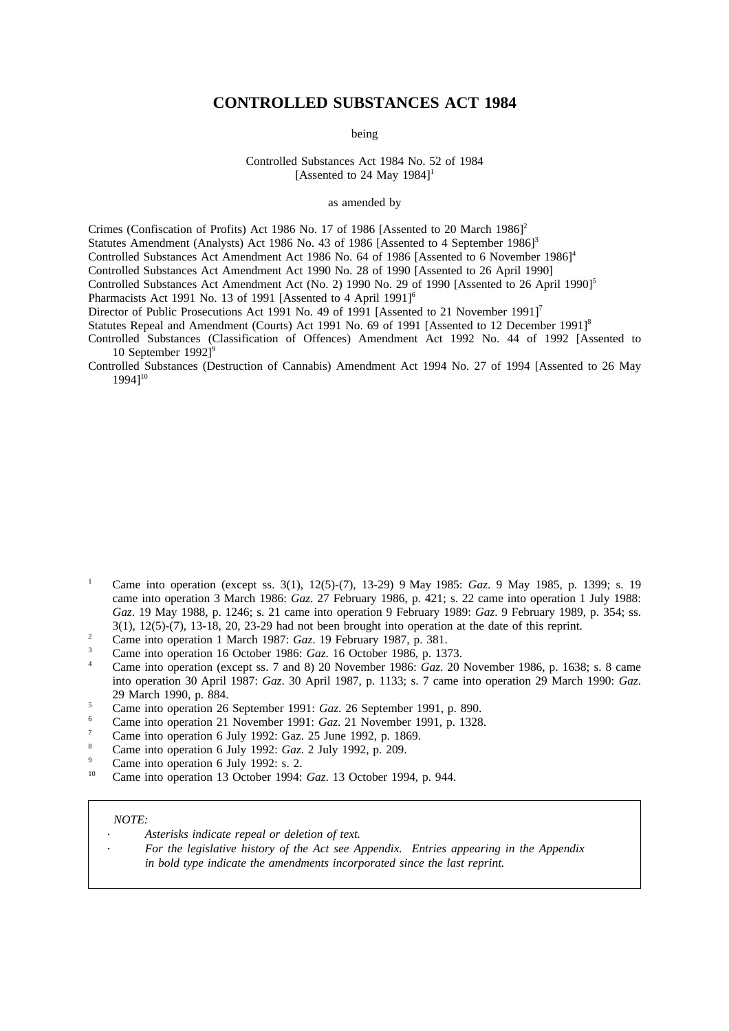# **CONTROLLED SUBSTANCES ACT 1984**

being

Controlled Substances Act 1984 No. 52 of 1984 [Assented to 24 May 1984]<sup>1</sup>

as amended by

Crimes (Confiscation of Profits) Act 1986 No. 17 of 1986 [Assented to 20 March 1986]<sup>2</sup> Statutes Amendment (Analysts) Act 1986 No. 43 of 1986 [Assented to 4 September 1986]<sup>3</sup> Controlled Substances Act Amendment Act 1986 No. 64 of 1986 [Assented to 6 November 1986]<sup>4</sup> Controlled Substances Act Amendment Act 1990 No. 28 of 1990 [Assented to 26 April 1990] Controlled Substances Act Amendment Act (No. 2) 1990 No. 29 of 1990 [Assented to 26 April 1990]<sup>5</sup> Pharmacists Act 1991 No. 13 of 1991 [Assented to 4 April 1991]<sup>6</sup> Director of Public Prosecutions Act 1991 No. 49 of 1991 [Assented to 21 November 1991]<sup>7</sup> Statutes Repeal and Amendment (Courts) Act 1991 No. 69 of 1991 [Assented to 12 December 1991]<sup>8</sup>

Controlled Substances (Classification of Offences) Amendment Act 1992 No. 44 of 1992 [Assented to 10 September 1992]<sup>9</sup>

Controlled Substances (Destruction of Cannabis) Amendment Act 1994 No. 27 of 1994 [Assented to 26 May 1994]10

- <sup>1</sup> Came into operation (except ss. 3(1), 12(5)-(7), 13-29) 9 May 1985: *Gaz*. 9 May 1985, p. 1399; s. 19 came into operation 3 March 1986: *Gaz*. 27 February 1986, p. 421; s. 22 came into operation 1 July 1988: *Gaz*. 19 May 1988, p. 1246; s. 21 came into operation 9 February 1989: *Gaz*. 9 February 1989, p. 354; ss. 3(1), 12(5)-(7), 13-18, 20, 23-29 had not been brought into operation at the date of this reprint.
- <sup>2</sup> Came into operation 1 March 1987: *Gaz*. 19 February 1987, p. 381.<br>Came into operation 1 March 1987: *Gaz*. 19 February 1987, p. 381.
- <sup>3</sup> Came into operation 16 October 1986: *Gaz*. 16 October 1986, p. 1373.<br><sup>4</sup> Came into operation (great as  $\frac{7}{2}$  and 8) 20 November 1986: *Gaz*. 20
- <sup>4</sup> Came into operation (except ss. 7 and 8) 20 November 1986: *Gaz*. 20 November 1986, p. 1638; s. 8 came into operation 30 April 1987: *Gaz*. 30 April 1987, p. 1133; s. 7 came into operation 29 March 1990: *Gaz*. 29 March 1990, p. 884.
- <sup>5</sup> Came into operation 26 September 1991: *Gaz*. 26 September 1991, p. 890.
- <sup>6</sup> Came into operation 21 November 1991: *Gaz*. 21 November 1991, p. 1328.
- <sup>7</sup> Came into operation 6 July 1992: Gaz. 25 June 1992, p. 1869.
- 8 Came into operation 6 July 1992: *Gaz*. 2 July 1992, p. 209.
- $\frac{9}{10}$  Came into operation 6 July 1992: s. 2.
- <sup>10</sup> Came into operation 13 October 1994: *Gaz*. 13 October 1994, p. 944.

#### *NOTE:*

- *Asterisks indicate repeal or deletion of text.*
	- *For the legislative history of the Act see Appendix. Entries appearing in the Appendix in bold type indicate the amendments incorporated since the last reprint.*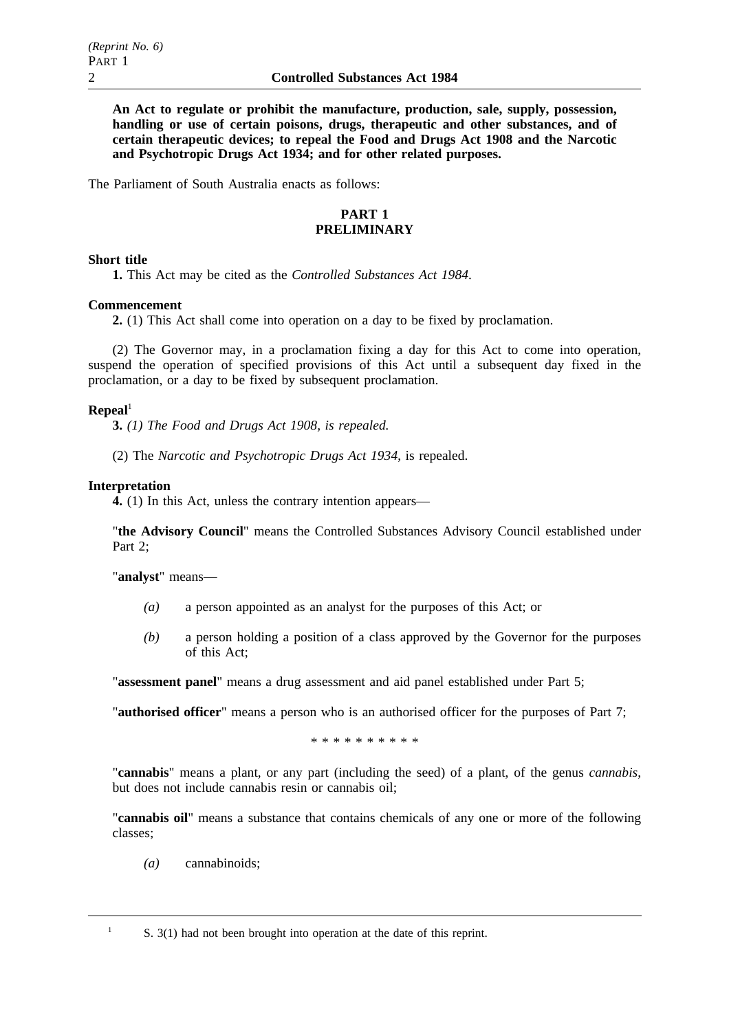**An Act to regulate or prohibit the manufacture, production, sale, supply, possession, handling or use of certain poisons, drugs, therapeutic and other substances, and of certain therapeutic devices; to repeal the Food and Drugs Act 1908 and the Narcotic and Psychotropic Drugs Act 1934; and for other related purposes.**

The Parliament of South Australia enacts as follows:

## **PART 1 PRELIMINARY**

## **Short title**

**1.** This Act may be cited as the *Controlled Substances Act 1984*.

## **Commencement**

**2.** (1) This Act shall come into operation on a day to be fixed by proclamation.

(2) The Governor may, in a proclamation fixing a day for this Act to come into operation, suspend the operation of specified provisions of this Act until a subsequent day fixed in the proclamation, or a day to be fixed by subsequent proclamation.

## $\mathbf{Repeal}^1$

**3.** *(1) The Food and Drugs Act 1908, is repealed.*

(2) The *Narcotic and Psychotropic Drugs Act 1934*, is repealed.

## **Interpretation**

**4.** (1) In this Act, unless the contrary intention appears—

"**the Advisory Council**" means the Controlled Substances Advisory Council established under Part 2;

"**analyst**" means—

- *(a)* a person appointed as an analyst for the purposes of this Act; or
- *(b)* a person holding a position of a class approved by the Governor for the purposes of this Act;

"**assessment panel**" means a drug assessment and aid panel established under Part 5;

"**authorised officer**" means a person who is an authorised officer for the purposes of Part 7;

\*\*\*\*\*\*\*\*\*\*

"**cannabis**" means a plant, or any part (including the seed) of a plant, of the genus *cannabis*, but does not include cannabis resin or cannabis oil;

"**cannabis oil**" means a substance that contains chemicals of any one or more of the following classes;

*(a)* cannabinoids;

<sup>1</sup> S. 3(1) had not been brought into operation at the date of this reprint.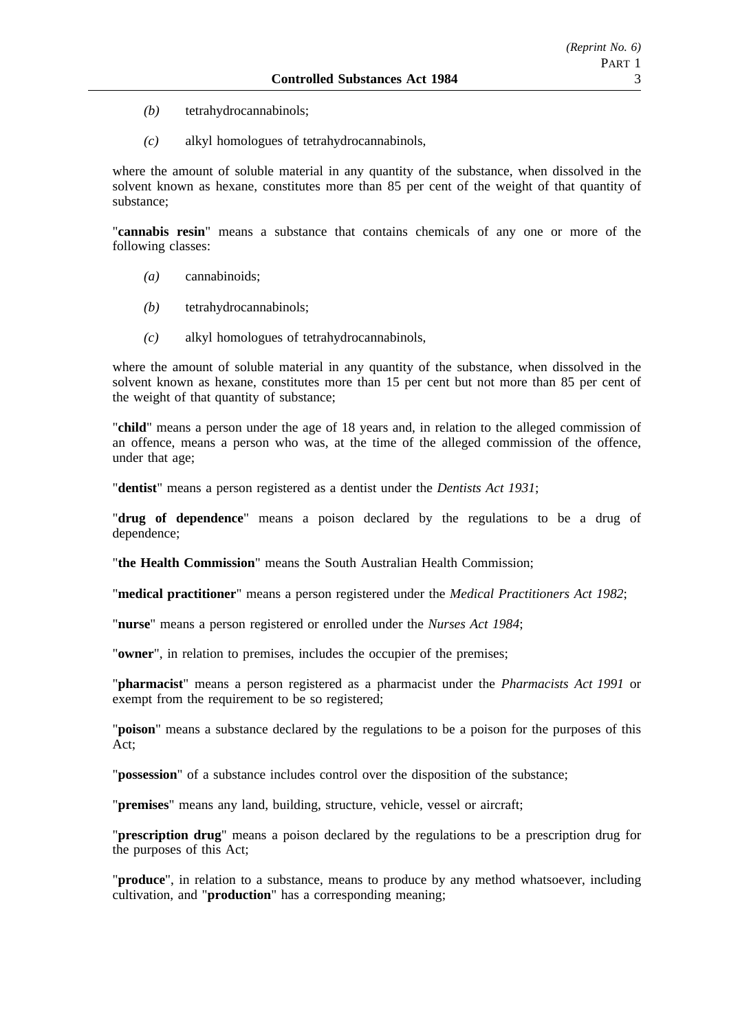- *(b)* tetrahydrocannabinols;
- *(c)* alkyl homologues of tetrahydrocannabinols,

where the amount of soluble material in any quantity of the substance, when dissolved in the solvent known as hexane, constitutes more than 85 per cent of the weight of that quantity of substance;

"**cannabis resin**" means a substance that contains chemicals of any one or more of the following classes:

- *(a)* cannabinoids;
- *(b)* tetrahydrocannabinols;
- *(c)* alkyl homologues of tetrahydrocannabinols,

where the amount of soluble material in any quantity of the substance, when dissolved in the solvent known as hexane, constitutes more than 15 per cent but not more than 85 per cent of the weight of that quantity of substance;

"**child**" means a person under the age of 18 years and, in relation to the alleged commission of an offence, means a person who was, at the time of the alleged commission of the offence, under that age;

"**dentist**" means a person registered as a dentist under the *Dentists Act 1931*;

"**drug of dependence**" means a poison declared by the regulations to be a drug of dependence;

"**the Health Commission**" means the South Australian Health Commission;

"**medical practitioner**" means a person registered under the *Medical Practitioners Act 1982*;

"**nurse**" means a person registered or enrolled under the *Nurses Act 1984*;

"**owner**", in relation to premises, includes the occupier of the premises;

"**pharmacist**" means a person registered as a pharmacist under the *Pharmacists Act 1991* or exempt from the requirement to be so registered;

"**poison**" means a substance declared by the regulations to be a poison for the purposes of this Act;

"**possession**" of a substance includes control over the disposition of the substance;

"**premises**" means any land, building, structure, vehicle, vessel or aircraft;

"**prescription drug**" means a poison declared by the regulations to be a prescription drug for the purposes of this Act;

"**produce**", in relation to a substance, means to produce by any method whatsoever, including cultivation, and "**production**" has a corresponding meaning;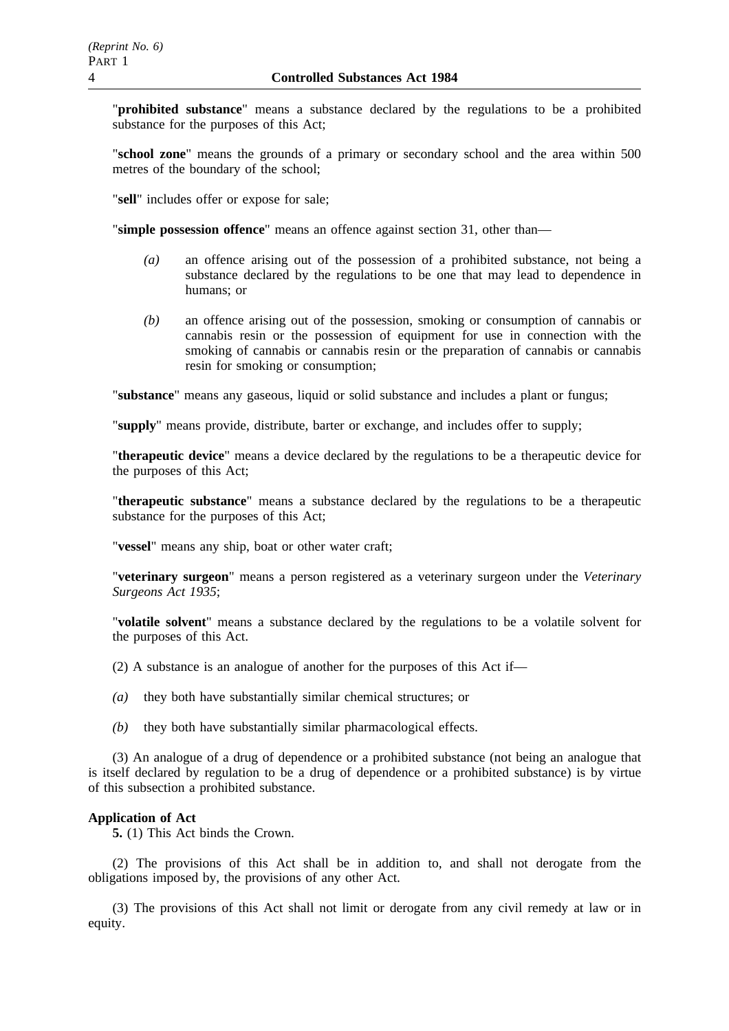"**prohibited substance**" means a substance declared by the regulations to be a prohibited substance for the purposes of this Act;

"**school zone**" means the grounds of a primary or secondary school and the area within 500 metres of the boundary of the school;

"**sell**" includes offer or expose for sale;

"**simple possession offence**" means an offence against section 31, other than—

- *(a)* an offence arising out of the possession of a prohibited substance, not being a substance declared by the regulations to be one that may lead to dependence in humans; or
- *(b)* an offence arising out of the possession, smoking or consumption of cannabis or cannabis resin or the possession of equipment for use in connection with the smoking of cannabis or cannabis resin or the preparation of cannabis or cannabis resin for smoking or consumption;

"**substance**" means any gaseous, liquid or solid substance and includes a plant or fungus;

"**supply**" means provide, distribute, barter or exchange, and includes offer to supply;

"**therapeutic device**" means a device declared by the regulations to be a therapeutic device for the purposes of this Act;

"**therapeutic substance**" means a substance declared by the regulations to be a therapeutic substance for the purposes of this Act;

"**vessel**" means any ship, boat or other water craft;

"**veterinary surgeon**" means a person registered as a veterinary surgeon under the *Veterinary Surgeons Act 1935*;

"**volatile solvent**" means a substance declared by the regulations to be a volatile solvent for the purposes of this Act.

(2) A substance is an analogue of another for the purposes of this Act if—

- *(a)* they both have substantially similar chemical structures; or
- *(b)* they both have substantially similar pharmacological effects.

(3) An analogue of a drug of dependence or a prohibited substance (not being an analogue that is itself declared by regulation to be a drug of dependence or a prohibited substance) is by virtue of this subsection a prohibited substance.

#### **Application of Act**

**5.** (1) This Act binds the Crown.

(2) The provisions of this Act shall be in addition to, and shall not derogate from the obligations imposed by, the provisions of any other Act.

(3) The provisions of this Act shall not limit or derogate from any civil remedy at law or in equity.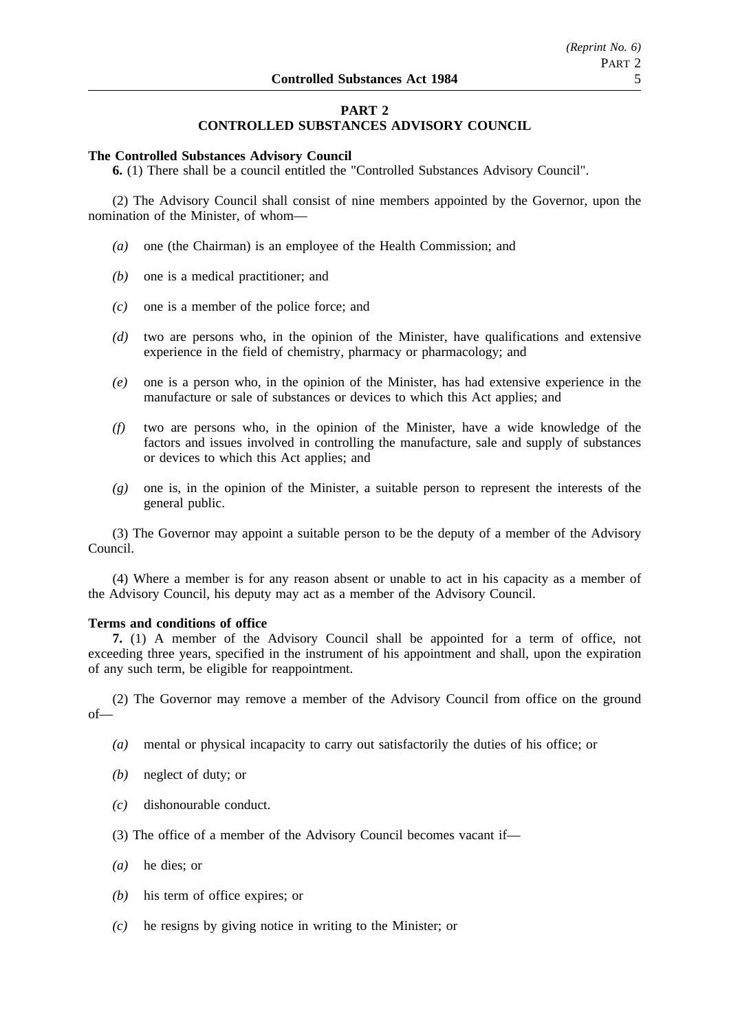# **PART 2**

# **CONTROLLED SUBSTANCES ADVISORY COUNCIL**

#### **The Controlled Substances Advisory Council**

**6.** (1) There shall be a council entitled the "Controlled Substances Advisory Council".

(2) The Advisory Council shall consist of nine members appointed by the Governor, upon the nomination of the Minister, of whom—

- *(a)* one (the Chairman) is an employee of the Health Commission; and
- *(b)* one is a medical practitioner; and
- *(c)* one is a member of the police force; and
- *(d)* two are persons who, in the opinion of the Minister, have qualifications and extensive experience in the field of chemistry, pharmacy or pharmacology; and
- *(e)* one is a person who, in the opinion of the Minister, has had extensive experience in the manufacture or sale of substances or devices to which this Act applies; and
- *(f)* two are persons who, in the opinion of the Minister, have a wide knowledge of the factors and issues involved in controlling the manufacture, sale and supply of substances or devices to which this Act applies; and
- *(g)* one is, in the opinion of the Minister, a suitable person to represent the interests of the general public.

(3) The Governor may appoint a suitable person to be the deputy of a member of the Advisory Council.

(4) Where a member is for any reason absent or unable to act in his capacity as a member of the Advisory Council, his deputy may act as a member of the Advisory Council.

## **Terms and conditions of office**

**7.** (1) A member of the Advisory Council shall be appointed for a term of office, not exceeding three years, specified in the instrument of his appointment and shall, upon the expiration of any such term, be eligible for reappointment.

(2) The Governor may remove a member of the Advisory Council from office on the ground of—

- *(a)* mental or physical incapacity to carry out satisfactorily the duties of his office; or
- *(b)* neglect of duty; or
- *(c)* dishonourable conduct.
- (3) The office of a member of the Advisory Council becomes vacant if—
- *(a)* he dies; or
- *(b)* his term of office expires; or
- *(c)* he resigns by giving notice in writing to the Minister; or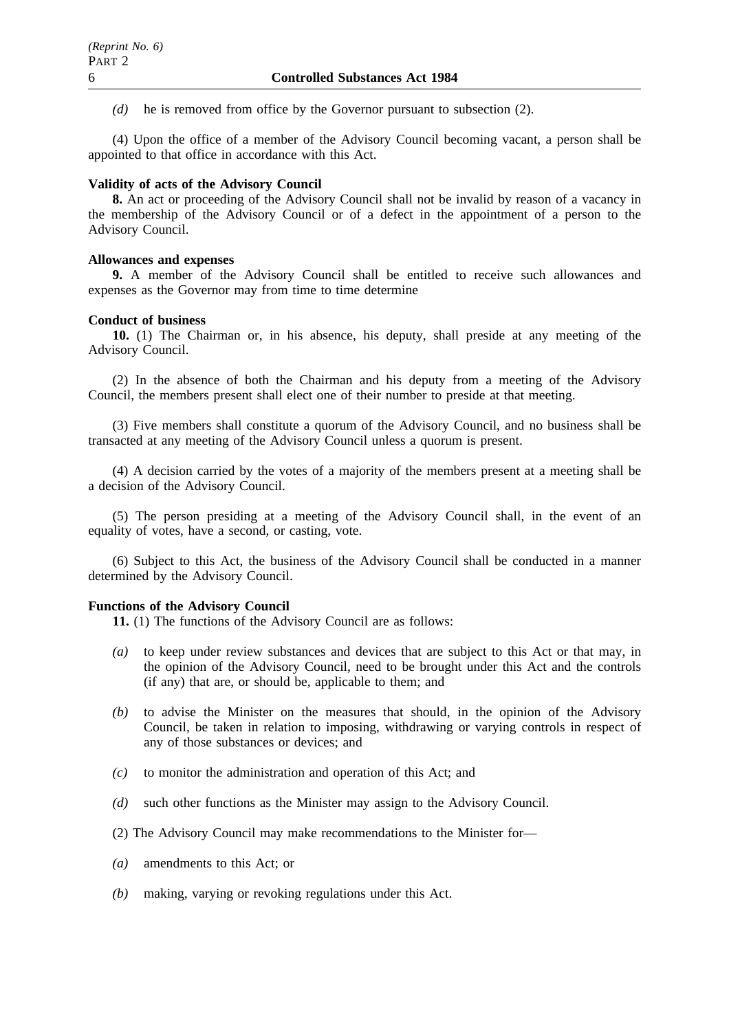*(d)* he is removed from office by the Governor pursuant to subsection (2).

(4) Upon the office of a member of the Advisory Council becoming vacant, a person shall be appointed to that office in accordance with this Act.

# **Validity of acts of the Advisory Council**

**8.** An act or proceeding of the Advisory Council shall not be invalid by reason of a vacancy in the membership of the Advisory Council or of a defect in the appointment of a person to the Advisory Council.

# **Allowances and expenses**

**9.** A member of the Advisory Council shall be entitled to receive such allowances and expenses as the Governor may from time to time determine

# **Conduct of business**

**10.** (1) The Chairman or, in his absence, his deputy, shall preside at any meeting of the Advisory Council.

(2) In the absence of both the Chairman and his deputy from a meeting of the Advisory Council, the members present shall elect one of their number to preside at that meeting.

(3) Five members shall constitute a quorum of the Advisory Council, and no business shall be transacted at any meeting of the Advisory Council unless a quorum is present.

(4) A decision carried by the votes of a majority of the members present at a meeting shall be a decision of the Advisory Council.

(5) The person presiding at a meeting of the Advisory Council shall, in the event of an equality of votes, have a second, or casting, vote.

(6) Subject to this Act, the business of the Advisory Council shall be conducted in a manner determined by the Advisory Council.

# **Functions of the Advisory Council**

**11.** (1) The functions of the Advisory Council are as follows:

- *(a)* to keep under review substances and devices that are subject to this Act or that may, in the opinion of the Advisory Council, need to be brought under this Act and the controls (if any) that are, or should be, applicable to them; and
- *(b)* to advise the Minister on the measures that should, in the opinion of the Advisory Council, be taken in relation to imposing, withdrawing or varying controls in respect of any of those substances or devices; and
- *(c)* to monitor the administration and operation of this Act; and
- *(d)* such other functions as the Minister may assign to the Advisory Council.
- (2) The Advisory Council may make recommendations to the Minister for—
- *(a)* amendments to this Act; or
- *(b)* making, varying or revoking regulations under this Act.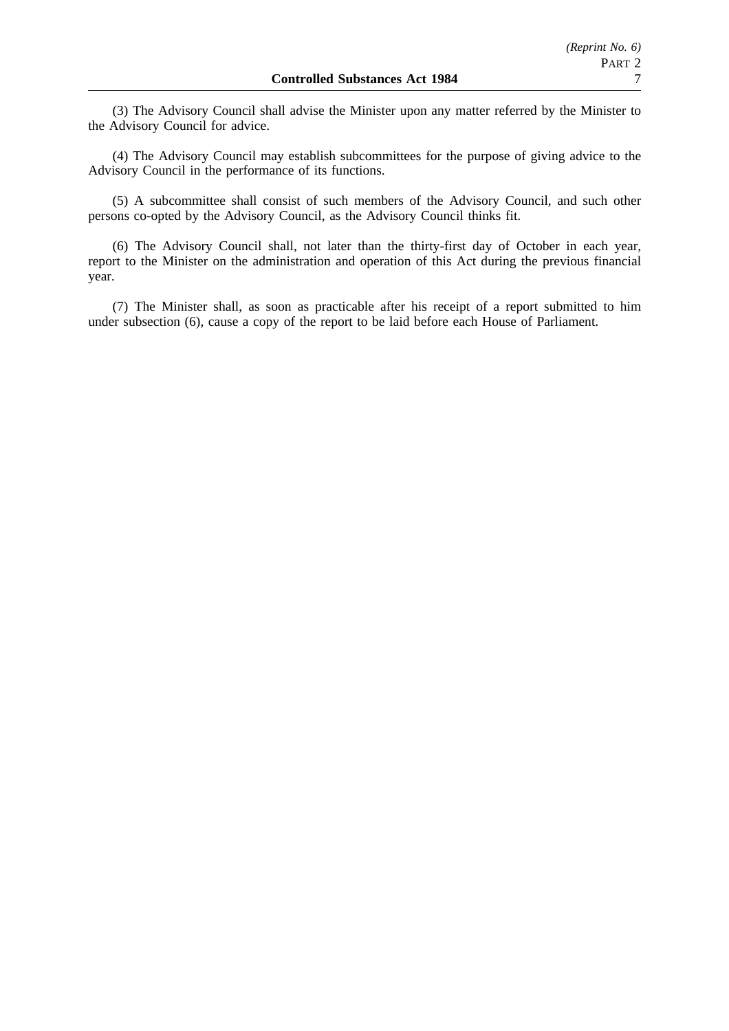(3) The Advisory Council shall advise the Minister upon any matter referred by the Minister to the Advisory Council for advice.

(4) The Advisory Council may establish subcommittees for the purpose of giving advice to the Advisory Council in the performance of its functions.

(5) A subcommittee shall consist of such members of the Advisory Council, and such other persons co-opted by the Advisory Council, as the Advisory Council thinks fit.

(6) The Advisory Council shall, not later than the thirty-first day of October in each year, report to the Minister on the administration and operation of this Act during the previous financial year.

(7) The Minister shall, as soon as practicable after his receipt of a report submitted to him under subsection (6), cause a copy of the report to be laid before each House of Parliament.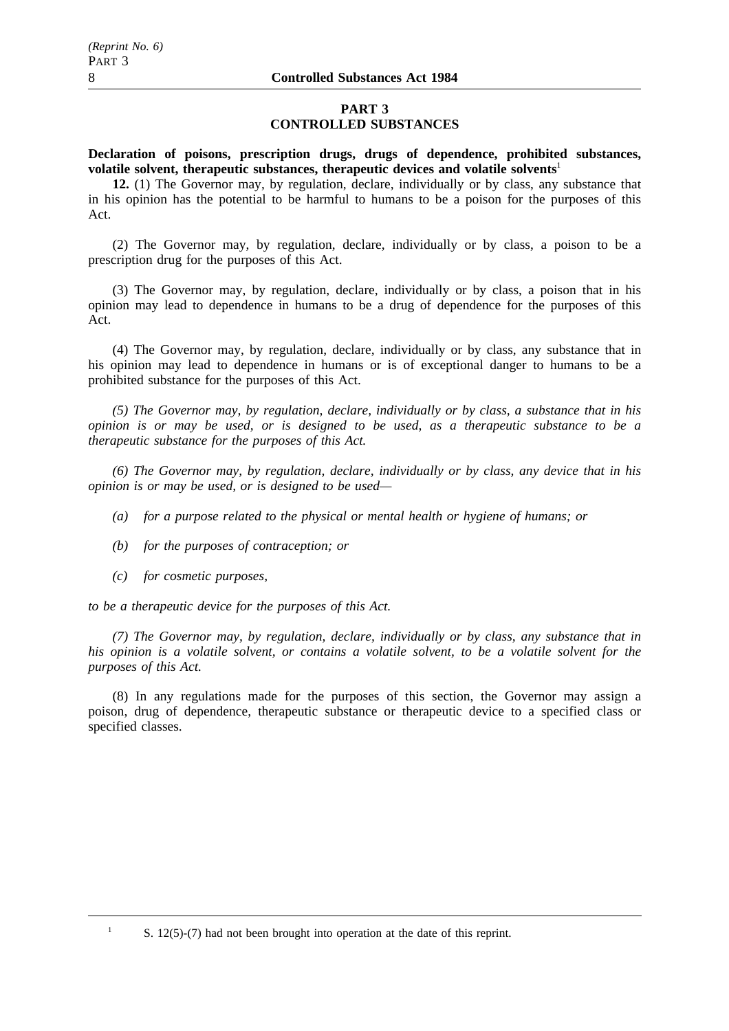# **PART 3 CONTROLLED SUBSTANCES**

**Declaration of poisons, prescription drugs, drugs of dependence, prohibited substances, volatile solvent, therapeutic substances, therapeutic devices and volatile solvents**<sup>1</sup>

**12.** (1) The Governor may, by regulation, declare, individually or by class, any substance that in his opinion has the potential to be harmful to humans to be a poison for the purposes of this Act.

(2) The Governor may, by regulation, declare, individually or by class, a poison to be a prescription drug for the purposes of this Act.

(3) The Governor may, by regulation, declare, individually or by class, a poison that in his opinion may lead to dependence in humans to be a drug of dependence for the purposes of this Act.

(4) The Governor may, by regulation, declare, individually or by class, any substance that in his opinion may lead to dependence in humans or is of exceptional danger to humans to be a prohibited substance for the purposes of this Act.

*(5) The Governor may, by regulation, declare, individually or by class, a substance that in his opinion is or may be used, or is designed to be used, as a therapeutic substance to be a therapeutic substance for the purposes of this Act.*

*(6) The Governor may, by regulation, declare, individually or by class, any device that in his opinion is or may be used, or is designed to be used—*

- *(a) for a purpose related to the physical or mental health or hygiene of humans; or*
- *(b) for the purposes of contraception; or*
- *(c) for cosmetic purposes,*

*to be a therapeutic device for the purposes of this Act.*

*(7) The Governor may, by regulation, declare, individually or by class, any substance that in his opinion is a volatile solvent, or contains a volatile solvent, to be a volatile solvent for the purposes of this Act.*

(8) In any regulations made for the purposes of this section, the Governor may assign a poison, drug of dependence, therapeutic substance or therapeutic device to a specified class or specified classes.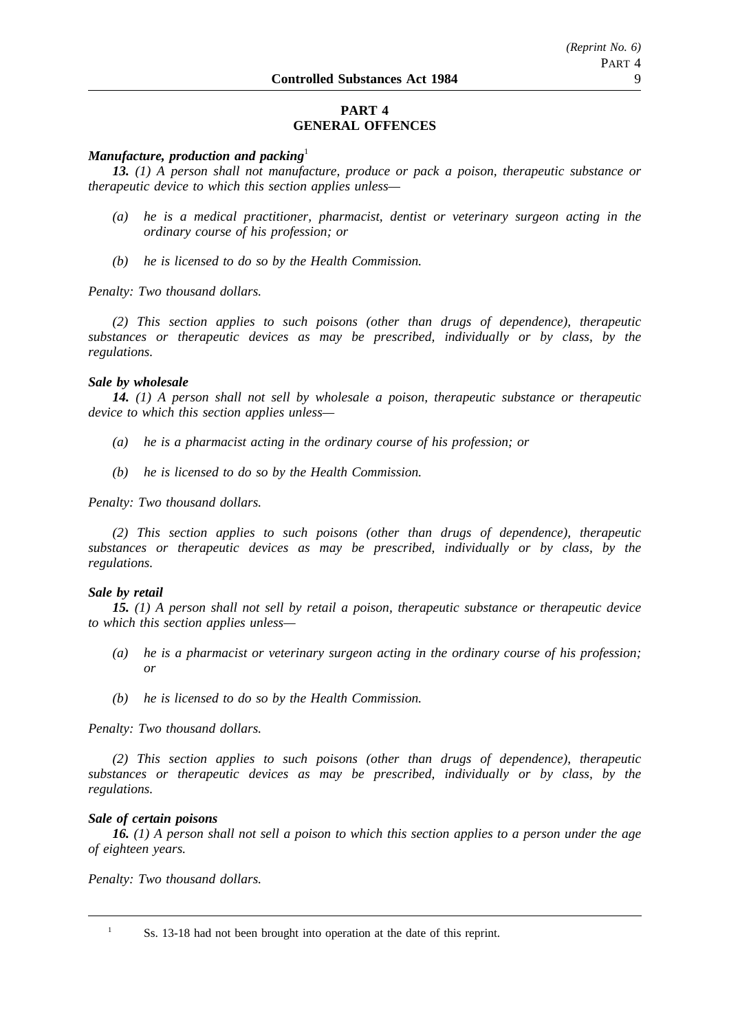# **PART 4 GENERAL OFFENCES**

## *Manufacture, production and packing*<sup>1</sup>

*13. (1) A person shall not manufacture, produce or pack a poison, therapeutic substance or therapeutic device to which this section applies unless—*

- *(a) he is a medical practitioner, pharmacist, dentist or veterinary surgeon acting in the ordinary course of his profession; or*
- *(b) he is licensed to do so by the Health Commission.*

*Penalty: Two thousand dollars.*

*(2) This section applies to such poisons (other than drugs of dependence), therapeutic substances or therapeutic devices as may be prescribed, individually or by class, by the regulations.*

## *Sale by wholesale*

*14. (1) A person shall not sell by wholesale a poison, therapeutic substance or therapeutic device to which this section applies unless—*

- *(a) he is a pharmacist acting in the ordinary course of his profession; or*
- *(b) he is licensed to do so by the Health Commission.*

*Penalty: Two thousand dollars.*

*(2) This section applies to such poisons (other than drugs of dependence), therapeutic substances or therapeutic devices as may be prescribed, individually or by class, by the regulations.*

## *Sale by retail*

*15. (1) A person shall not sell by retail a poison, therapeutic substance or therapeutic device to which this section applies unless—*

- *(a) he is a pharmacist or veterinary surgeon acting in the ordinary course of his profession; or*
- *(b) he is licensed to do so by the Health Commission.*

*Penalty: Two thousand dollars.*

*(2) This section applies to such poisons (other than drugs of dependence), therapeutic substances or therapeutic devices as may be prescribed, individually or by class, by the regulations.*

## *Sale of certain poisons*

*16. (1) A person shall not sell a poison to which this section applies to a person under the age of eighteen years.*

*Penalty: Two thousand dollars.*

<sup>1</sup> Ss. 13-18 had not been brought into operation at the date of this reprint.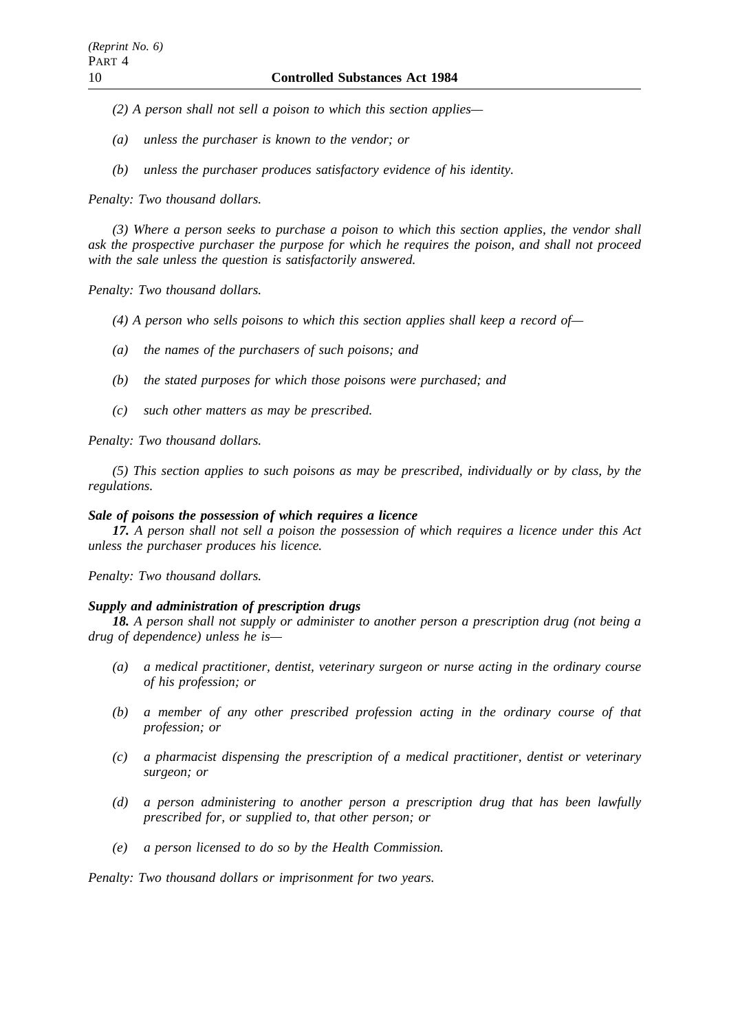- *(2) A person shall not sell a poison to which this section applies—*
- *(a) unless the purchaser is known to the vendor; or*
- *(b) unless the purchaser produces satisfactory evidence of his identity.*

*Penalty: Two thousand dollars.*

*(3) Where a person seeks to purchase a poison to which this section applies, the vendor shall ask the prospective purchaser the purpose for which he requires the poison, and shall not proceed with the sale unless the question is satisfactorily answered.*

*Penalty: Two thousand dollars.*

*(4) A person who sells poisons to which this section applies shall keep a record of—*

- *(a) the names of the purchasers of such poisons; and*
- *(b) the stated purposes for which those poisons were purchased; and*
- *(c) such other matters as may be prescribed.*

*Penalty: Two thousand dollars.*

*(5) This section applies to such poisons as may be prescribed, individually or by class, by the regulations.*

## *Sale of poisons the possession of which requires a licence*

*17. A person shall not sell a poison the possession of which requires a licence under this Act unless the purchaser produces his licence.*

*Penalty: Two thousand dollars.*

## *Supply and administration of prescription drugs*

*18. A person shall not supply or administer to another person a prescription drug (not being a drug of dependence) unless he is—*

- *(a) a medical practitioner, dentist, veterinary surgeon or nurse acting in the ordinary course of his profession; or*
- *(b) a member of any other prescribed profession acting in the ordinary course of that profession; or*
- *(c) a pharmacist dispensing the prescription of a medical practitioner, dentist or veterinary surgeon; or*
- *(d) a person administering to another person a prescription drug that has been lawfully prescribed for, or supplied to, that other person; or*
- *(e) a person licensed to do so by the Health Commission.*

*Penalty: Two thousand dollars or imprisonment for two years.*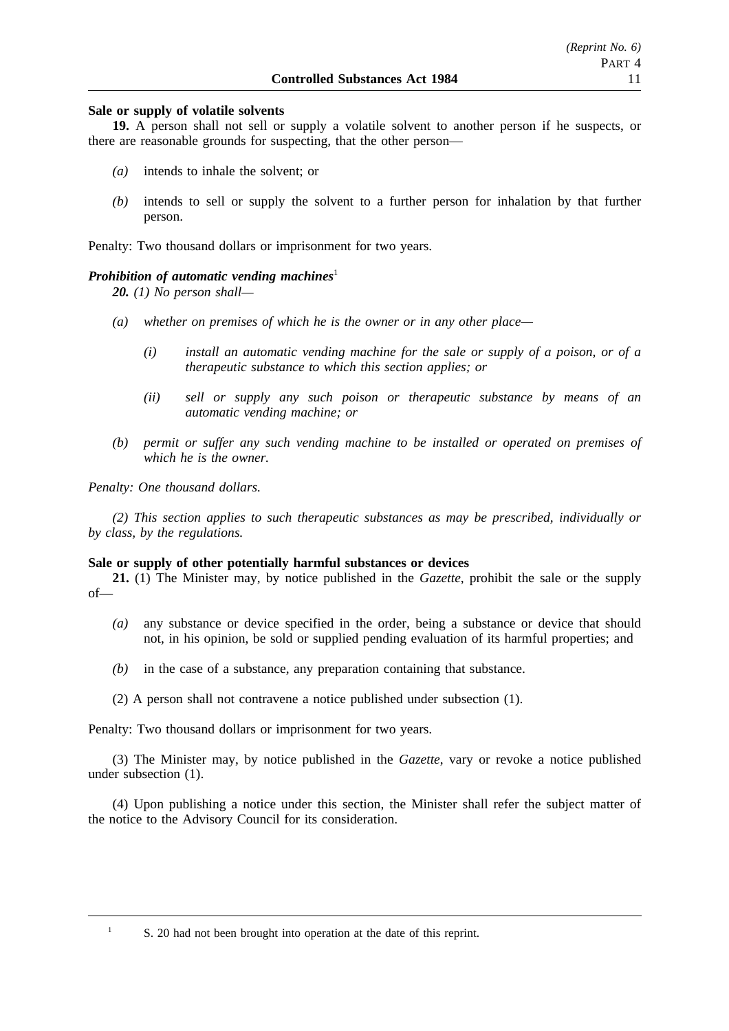## **Sale or supply of volatile solvents**

**19.** A person shall not sell or supply a volatile solvent to another person if he suspects, or there are reasonable grounds for suspecting, that the other person—

- *(a)* intends to inhale the solvent; or
- *(b)* intends to sell or supply the solvent to a further person for inhalation by that further person.

Penalty: Two thousand dollars or imprisonment for two years.

#### *Prohibition of automatic vending machines*<sup>1</sup>

*20. (1) No person shall—*

- *(a) whether on premises of which he is the owner or in any other place—*
	- *(i) install an automatic vending machine for the sale or supply of a poison, or of a therapeutic substance to which this section applies; or*
	- *(ii) sell or supply any such poison or therapeutic substance by means of an automatic vending machine; or*
- *(b) permit or suffer any such vending machine to be installed or operated on premises of which he is the owner.*

*Penalty: One thousand dollars.*

*(2) This section applies to such therapeutic substances as may be prescribed, individually or by class, by the regulations.*

#### **Sale or supply of other potentially harmful substances or devices**

**21.** (1) The Minister may, by notice published in the *Gazette*, prohibit the sale or the supply of—

- *(a)* any substance or device specified in the order, being a substance or device that should not, in his opinion, be sold or supplied pending evaluation of its harmful properties; and
- *(b)* in the case of a substance, any preparation containing that substance.
- (2) A person shall not contravene a notice published under subsection (1).

Penalty: Two thousand dollars or imprisonment for two years.

(3) The Minister may, by notice published in the *Gazette*, vary or revoke a notice published under subsection (1).

(4) Upon publishing a notice under this section, the Minister shall refer the subject matter of the notice to the Advisory Council for its consideration.

<sup>1</sup> S. 20 had not been brought into operation at the date of this reprint.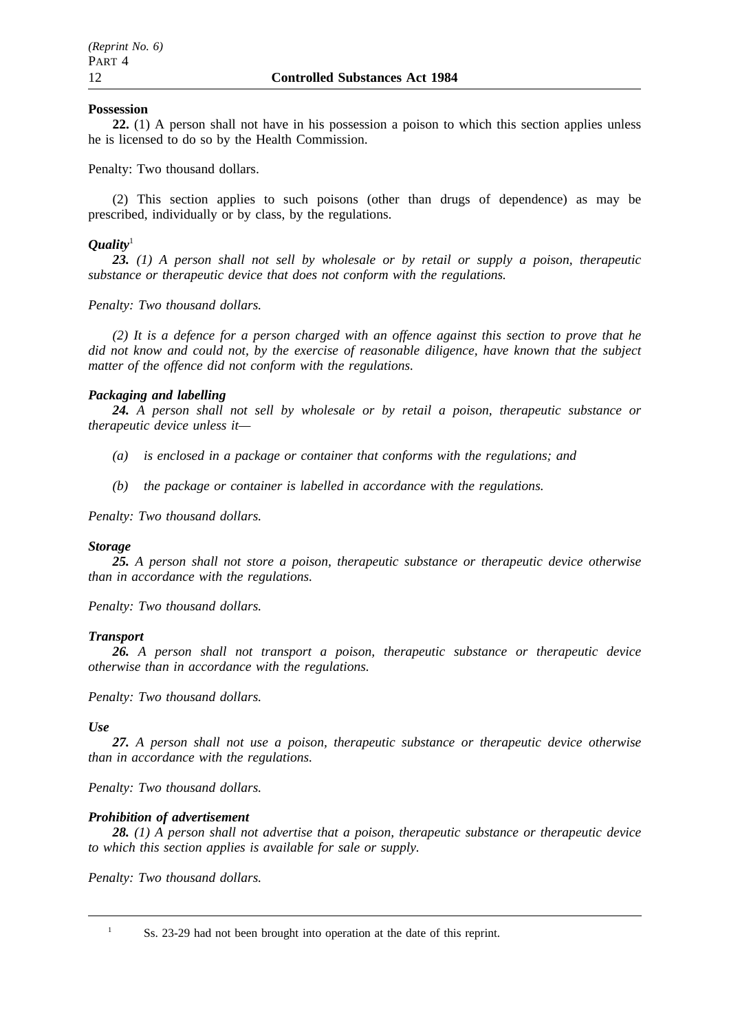## **Possession**

**22.** (1) A person shall not have in his possession a poison to which this section applies unless he is licensed to do so by the Health Commission.

Penalty: Two thousand dollars.

(2) This section applies to such poisons (other than drugs of dependence) as may be prescribed, individually or by class, by the regulations.

# *Quality*<sup>1</sup>

*23. (1) A person shall not sell by wholesale or by retail or supply a poison, therapeutic substance or therapeutic device that does not conform with the regulations.*

*Penalty: Two thousand dollars.*

*(2) It is a defence for a person charged with an offence against this section to prove that he did not know and could not, by the exercise of reasonable diligence, have known that the subject matter of the offence did not conform with the regulations.*

## *Packaging and labelling*

*24. A person shall not sell by wholesale or by retail a poison, therapeutic substance or therapeutic device unless it—*

- *(a) is enclosed in a package or container that conforms with the regulations; and*
- *(b) the package or container is labelled in accordance with the regulations.*

*Penalty: Two thousand dollars.*

## *Storage*

*25. A person shall not store a poison, therapeutic substance or therapeutic device otherwise than in accordance with the regulations.*

*Penalty: Two thousand dollars.*

## *Transport*

*26. A person shall not transport a poison, therapeutic substance or therapeutic device otherwise than in accordance with the regulations.*

*Penalty: Two thousand dollars.*

*Use*

*27. A person shall not use a poison, therapeutic substance or therapeutic device otherwise than in accordance with the regulations.*

*Penalty: Two thousand dollars.*

# *Prohibition of advertisement*

*28. (1) A person shall not advertise that a poison, therapeutic substance or therapeutic device to which this section applies is available for sale or supply.*

*Penalty: Two thousand dollars.*

<sup>&</sup>lt;sup>1</sup> Ss. 23-29 had not been brought into operation at the date of this reprint.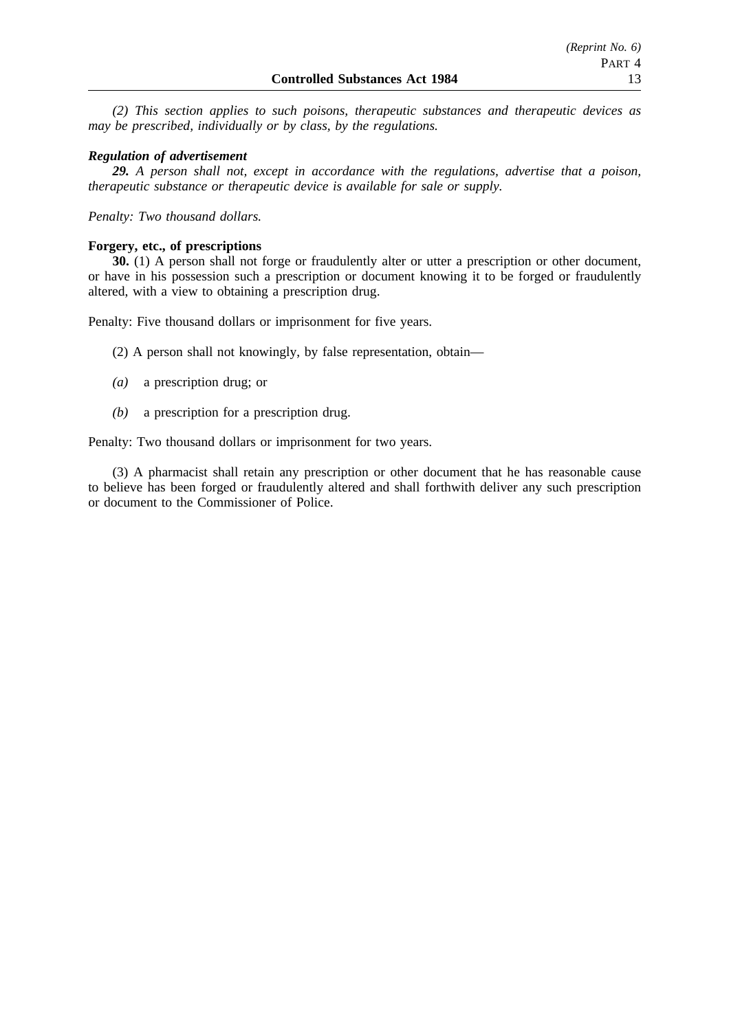*(2) This section applies to such poisons, therapeutic substances and therapeutic devices as may be prescribed, individually or by class, by the regulations.*

#### *Regulation of advertisement*

*29. A person shall not, except in accordance with the regulations, advertise that a poison, therapeutic substance or therapeutic device is available for sale or supply.*

*Penalty: Two thousand dollars.*

#### **Forgery, etc., of prescriptions**

**30.** (1) A person shall not forge or fraudulently alter or utter a prescription or other document, or have in his possession such a prescription or document knowing it to be forged or fraudulently altered, with a view to obtaining a prescription drug.

Penalty: Five thousand dollars or imprisonment for five years.

(2) A person shall not knowingly, by false representation, obtain—

- *(a)* a prescription drug; or
- *(b)* a prescription for a prescription drug.

Penalty: Two thousand dollars or imprisonment for two years.

(3) A pharmacist shall retain any prescription or other document that he has reasonable cause to believe has been forged or fraudulently altered and shall forthwith deliver any such prescription or document to the Commissioner of Police.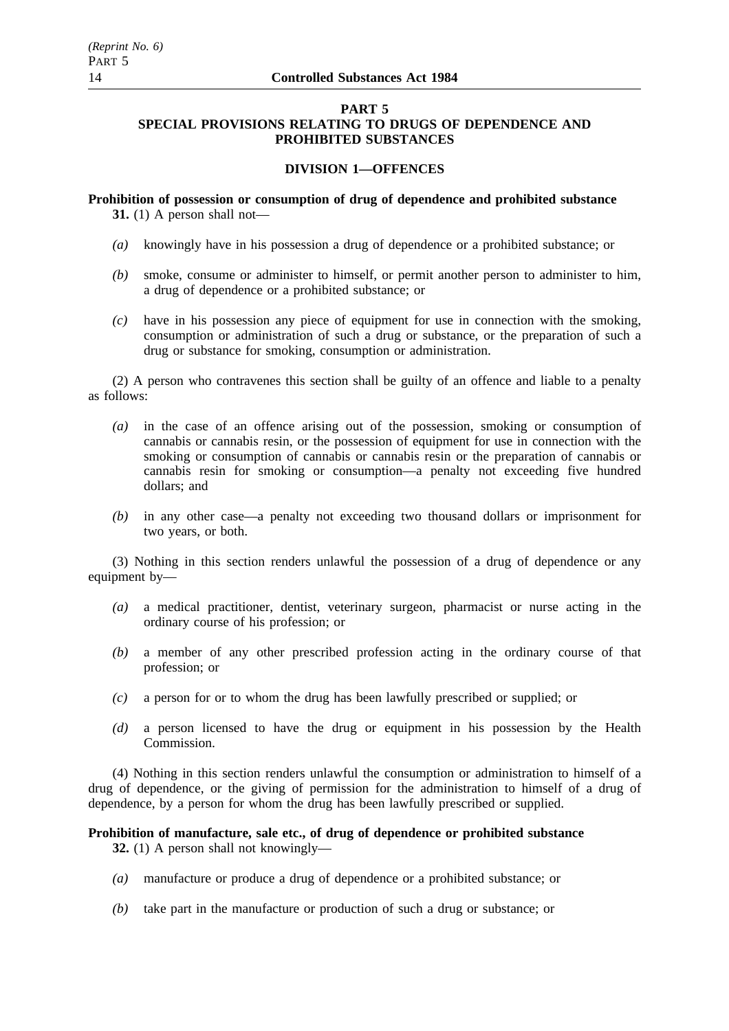## **PART 5 SPECIAL PROVISIONS RELATING TO DRUGS OF DEPENDENCE AND PROHIBITED SUBSTANCES**

# **DIVISION 1—OFFENCES**

**Prohibition of possession or consumption of drug of dependence and prohibited substance 31.** (1) A person shall not—

- *(a)* knowingly have in his possession a drug of dependence or a prohibited substance; or
- *(b)* smoke, consume or administer to himself, or permit another person to administer to him, a drug of dependence or a prohibited substance; or
- *(c)* have in his possession any piece of equipment for use in connection with the smoking, consumption or administration of such a drug or substance, or the preparation of such a drug or substance for smoking, consumption or administration.

(2) A person who contravenes this section shall be guilty of an offence and liable to a penalty as follows:

- *(a)* in the case of an offence arising out of the possession, smoking or consumption of cannabis or cannabis resin, or the possession of equipment for use in connection with the smoking or consumption of cannabis or cannabis resin or the preparation of cannabis or cannabis resin for smoking or consumption—a penalty not exceeding five hundred dollars; and
- *(b)* in any other case—a penalty not exceeding two thousand dollars or imprisonment for two years, or both.

(3) Nothing in this section renders unlawful the possession of a drug of dependence or any equipment by—

- *(a)* a medical practitioner, dentist, veterinary surgeon, pharmacist or nurse acting in the ordinary course of his profession; or
- *(b)* a member of any other prescribed profession acting in the ordinary course of that profession; or
- *(c)* a person for or to whom the drug has been lawfully prescribed or supplied; or
- *(d)* a person licensed to have the drug or equipment in his possession by the Health Commission.

(4) Nothing in this section renders unlawful the consumption or administration to himself of a drug of dependence, or the giving of permission for the administration to himself of a drug of dependence, by a person for whom the drug has been lawfully prescribed or supplied.

## **Prohibition of manufacture, sale etc., of drug of dependence or prohibited substance**

**32.** (1) A person shall not knowingly—

- *(a)* manufacture or produce a drug of dependence or a prohibited substance; or
- *(b)* take part in the manufacture or production of such a drug or substance; or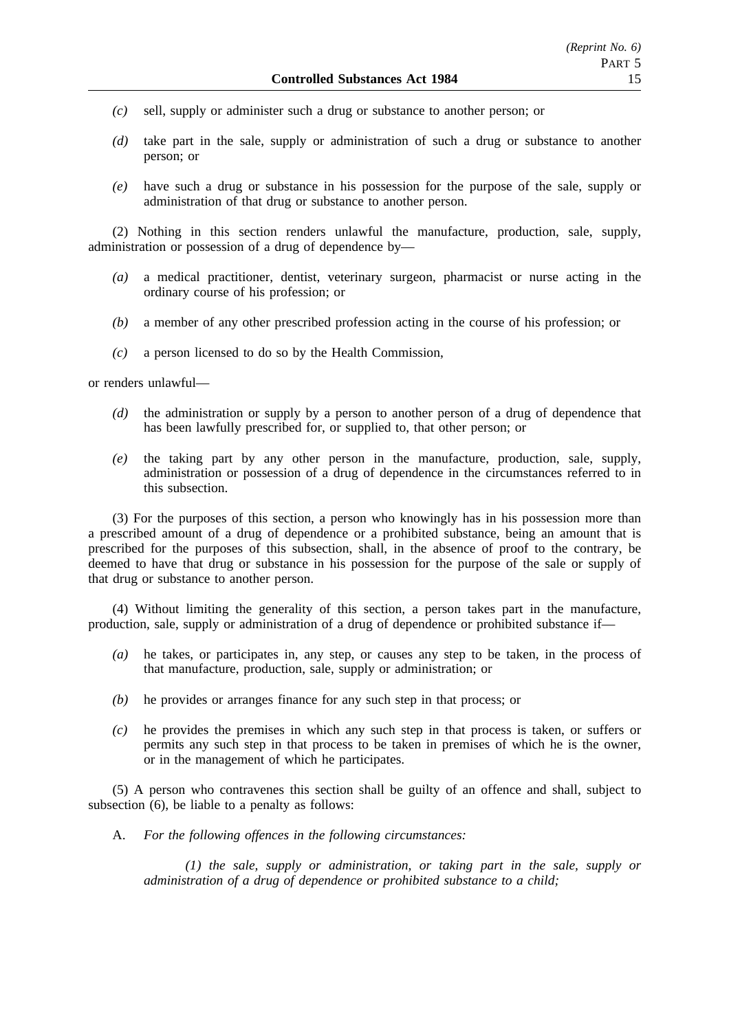- *(c)* sell, supply or administer such a drug or substance to another person; or
- *(d)* take part in the sale, supply or administration of such a drug or substance to another person; or
- *(e)* have such a drug or substance in his possession for the purpose of the sale, supply or administration of that drug or substance to another person.

(2) Nothing in this section renders unlawful the manufacture, production, sale, supply, administration or possession of a drug of dependence by—

- *(a)* a medical practitioner, dentist, veterinary surgeon, pharmacist or nurse acting in the ordinary course of his profession; or
- *(b)* a member of any other prescribed profession acting in the course of his profession; or
- *(c)* a person licensed to do so by the Health Commission,

or renders unlawful—

- *(d)* the administration or supply by a person to another person of a drug of dependence that has been lawfully prescribed for, or supplied to, that other person; or
- *(e)* the taking part by any other person in the manufacture, production, sale, supply, administration or possession of a drug of dependence in the circumstances referred to in this subsection.

(3) For the purposes of this section, a person who knowingly has in his possession more than a prescribed amount of a drug of dependence or a prohibited substance, being an amount that is prescribed for the purposes of this subsection, shall, in the absence of proof to the contrary, be deemed to have that drug or substance in his possession for the purpose of the sale or supply of that drug or substance to another person.

(4) Without limiting the generality of this section, a person takes part in the manufacture, production, sale, supply or administration of a drug of dependence or prohibited substance if—

- *(a)* he takes, or participates in, any step, or causes any step to be taken, in the process of that manufacture, production, sale, supply or administration; or
- *(b)* he provides or arranges finance for any such step in that process; or
- *(c)* he provides the premises in which any such step in that process is taken, or suffers or permits any such step in that process to be taken in premises of which he is the owner, or in the management of which he participates.

(5) A person who contravenes this section shall be guilty of an offence and shall, subject to subsection  $(6)$ , be liable to a penalty as follows:

A. *For the following offences in the following circumstances:*

*(1) the sale, supply or administration, or taking part in the sale, supply or administration of a drug of dependence or prohibited substance to a child;*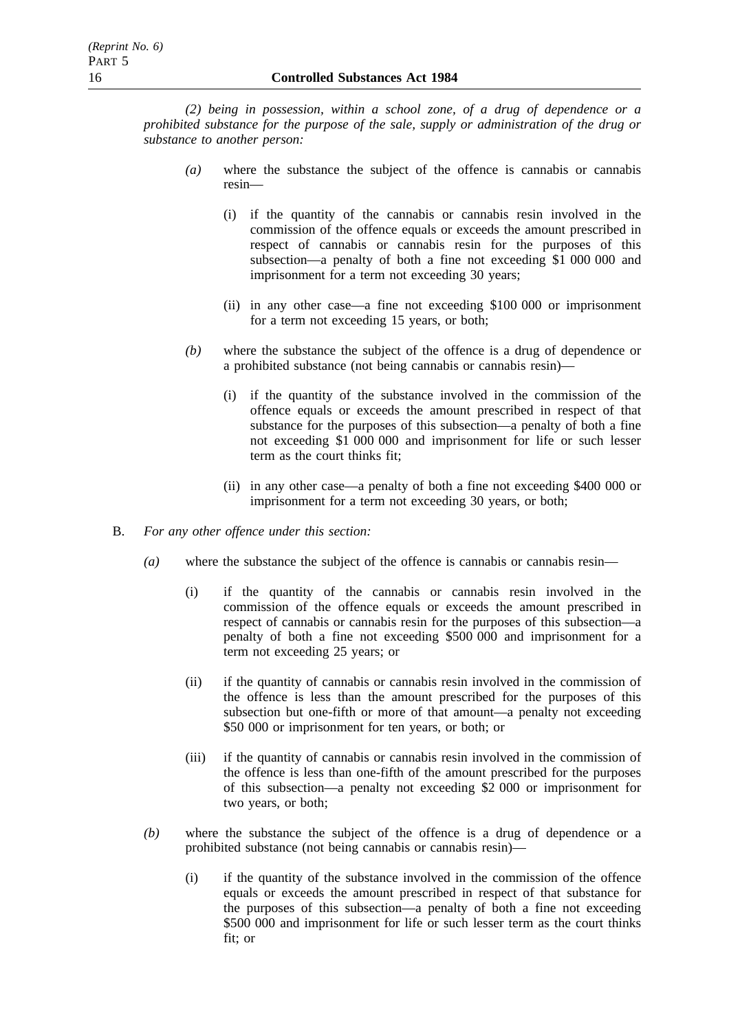*(2) being in possession, within a school zone, of a drug of dependence or a prohibited substance for the purpose of the sale, supply or administration of the drug or substance to another person:*

- *(a)* where the substance the subject of the offence is cannabis or cannabis resin—
	- (i) if the quantity of the cannabis or cannabis resin involved in the commission of the offence equals or exceeds the amount prescribed in respect of cannabis or cannabis resin for the purposes of this subsection—a penalty of both a fine not exceeding \$1 000 000 and imprisonment for a term not exceeding 30 years;
	- (ii) in any other case—a fine not exceeding \$100 000 or imprisonment for a term not exceeding 15 years, or both;
- *(b)* where the substance the subject of the offence is a drug of dependence or a prohibited substance (not being cannabis or cannabis resin)—
	- (i) if the quantity of the substance involved in the commission of the offence equals or exceeds the amount prescribed in respect of that substance for the purposes of this subsection—a penalty of both a fine not exceeding \$1 000 000 and imprisonment for life or such lesser term as the court thinks fit;
	- (ii) in any other case—a penalty of both a fine not exceeding \$400 000 or imprisonment for a term not exceeding 30 years, or both;
- B. *For any other offence under this section:*
	- *(a)* where the substance the subject of the offence is cannabis or cannabis resin—
		- (i) if the quantity of the cannabis or cannabis resin involved in the commission of the offence equals or exceeds the amount prescribed in respect of cannabis or cannabis resin for the purposes of this subsection—a penalty of both a fine not exceeding \$500 000 and imprisonment for a term not exceeding 25 years; or
		- (ii) if the quantity of cannabis or cannabis resin involved in the commission of the offence is less than the amount prescribed for the purposes of this subsection but one-fifth or more of that amount—a penalty not exceeding \$50 000 or imprisonment for ten years, or both; or
		- (iii) if the quantity of cannabis or cannabis resin involved in the commission of the offence is less than one-fifth of the amount prescribed for the purposes of this subsection—a penalty not exceeding \$2 000 or imprisonment for two years, or both;
	- *(b)* where the substance the subject of the offence is a drug of dependence or a prohibited substance (not being cannabis or cannabis resin)—
		- (i) if the quantity of the substance involved in the commission of the offence equals or exceeds the amount prescribed in respect of that substance for the purposes of this subsection—a penalty of both a fine not exceeding \$500 000 and imprisonment for life or such lesser term as the court thinks fit; or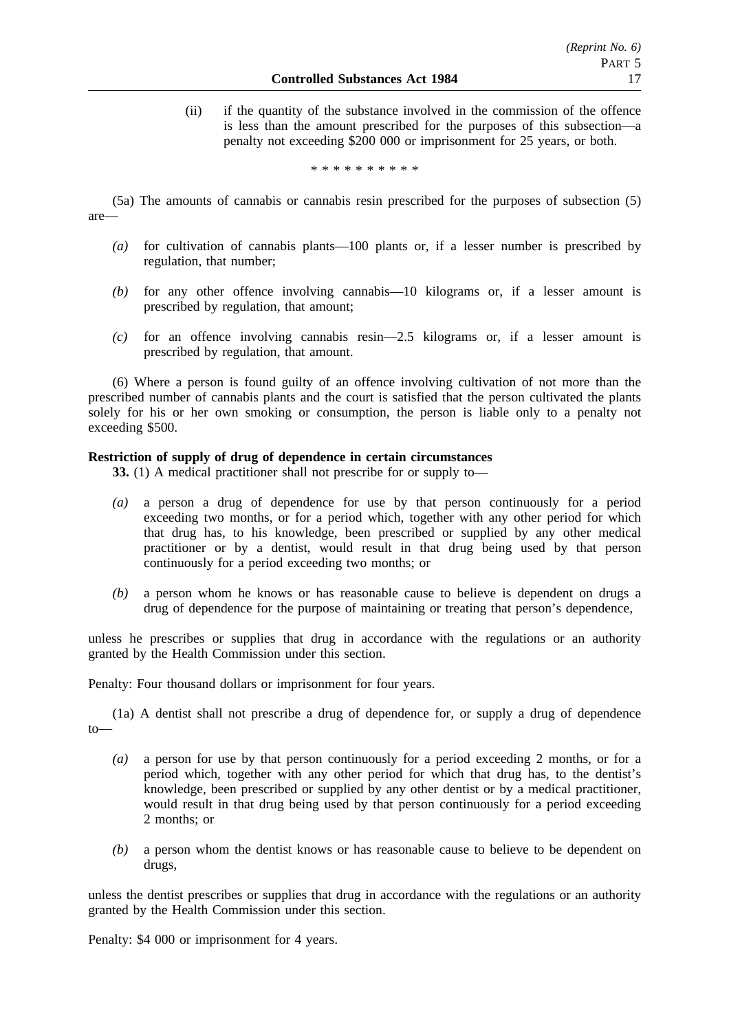(ii) if the quantity of the substance involved in the commission of the offence is less than the amount prescribed for the purposes of this subsection—a penalty not exceeding \$200 000 or imprisonment for 25 years, or both.

\*\*\*\*\*\*\*\*\*\*

- (5a) The amounts of cannabis or cannabis resin prescribed for the purposes of subsection (5) are—
	- *(a)* for cultivation of cannabis plants—100 plants or, if a lesser number is prescribed by regulation, that number;
	- *(b)* for any other offence involving cannabis—10 kilograms or, if a lesser amount is prescribed by regulation, that amount;
	- *(c)* for an offence involving cannabis resin—2.5 kilograms or, if a lesser amount is prescribed by regulation, that amount.

(6) Where a person is found guilty of an offence involving cultivation of not more than the prescribed number of cannabis plants and the court is satisfied that the person cultivated the plants solely for his or her own smoking or consumption, the person is liable only to a penalty not exceeding \$500.

## **Restriction of supply of drug of dependence in certain circumstances**

**33.** (1) A medical practitioner shall not prescribe for or supply to—

- *(a)* a person a drug of dependence for use by that person continuously for a period exceeding two months, or for a period which, together with any other period for which that drug has, to his knowledge, been prescribed or supplied by any other medical practitioner or by a dentist, would result in that drug being used by that person continuously for a period exceeding two months; or
- *(b)* a person whom he knows or has reasonable cause to believe is dependent on drugs a drug of dependence for the purpose of maintaining or treating that person's dependence,

unless he prescribes or supplies that drug in accordance with the regulations or an authority granted by the Health Commission under this section.

Penalty: Four thousand dollars or imprisonment for four years.

(1a) A dentist shall not prescribe a drug of dependence for, or supply a drug of dependence to—

- *(a)* a person for use by that person continuously for a period exceeding 2 months, or for a period which, together with any other period for which that drug has, to the dentist's knowledge, been prescribed or supplied by any other dentist or by a medical practitioner, would result in that drug being used by that person continuously for a period exceeding 2 months; or
- *(b)* a person whom the dentist knows or has reasonable cause to believe to be dependent on drugs,

unless the dentist prescribes or supplies that drug in accordance with the regulations or an authority granted by the Health Commission under this section.

Penalty: \$4 000 or imprisonment for 4 years.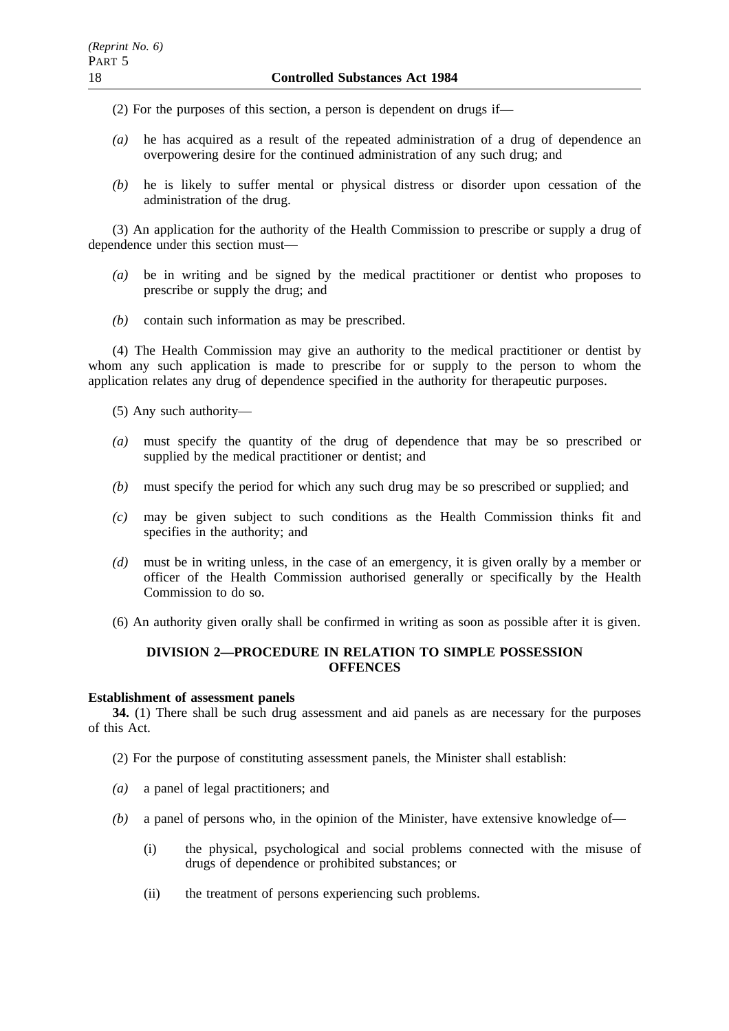(2) For the purposes of this section, a person is dependent on drugs if—

- *(a)* he has acquired as a result of the repeated administration of a drug of dependence an overpowering desire for the continued administration of any such drug; and
- *(b)* he is likely to suffer mental or physical distress or disorder upon cessation of the administration of the drug.

(3) An application for the authority of the Health Commission to prescribe or supply a drug of dependence under this section must—

- *(a)* be in writing and be signed by the medical practitioner or dentist who proposes to prescribe or supply the drug; and
- *(b)* contain such information as may be prescribed.

(4) The Health Commission may give an authority to the medical practitioner or dentist by whom any such application is made to prescribe for or supply to the person to whom the application relates any drug of dependence specified in the authority for therapeutic purposes.

(5) Any such authority—

- *(a)* must specify the quantity of the drug of dependence that may be so prescribed or supplied by the medical practitioner or dentist; and
- *(b)* must specify the period for which any such drug may be so prescribed or supplied; and
- *(c)* may be given subject to such conditions as the Health Commission thinks fit and specifies in the authority; and
- *(d)* must be in writing unless, in the case of an emergency, it is given orally by a member or officer of the Health Commission authorised generally or specifically by the Health Commission to do so.
- (6) An authority given orally shall be confirmed in writing as soon as possible after it is given.

# **DIVISION 2—PROCEDURE IN RELATION TO SIMPLE POSSESSION OFFENCES**

## **Establishment of assessment panels**

**34.** (1) There shall be such drug assessment and aid panels as are necessary for the purposes of this Act.

- (2) For the purpose of constituting assessment panels, the Minister shall establish:
- *(a)* a panel of legal practitioners; and
- *(b)* a panel of persons who, in the opinion of the Minister, have extensive knowledge of—
	- (i) the physical, psychological and social problems connected with the misuse of drugs of dependence or prohibited substances; or
	- (ii) the treatment of persons experiencing such problems.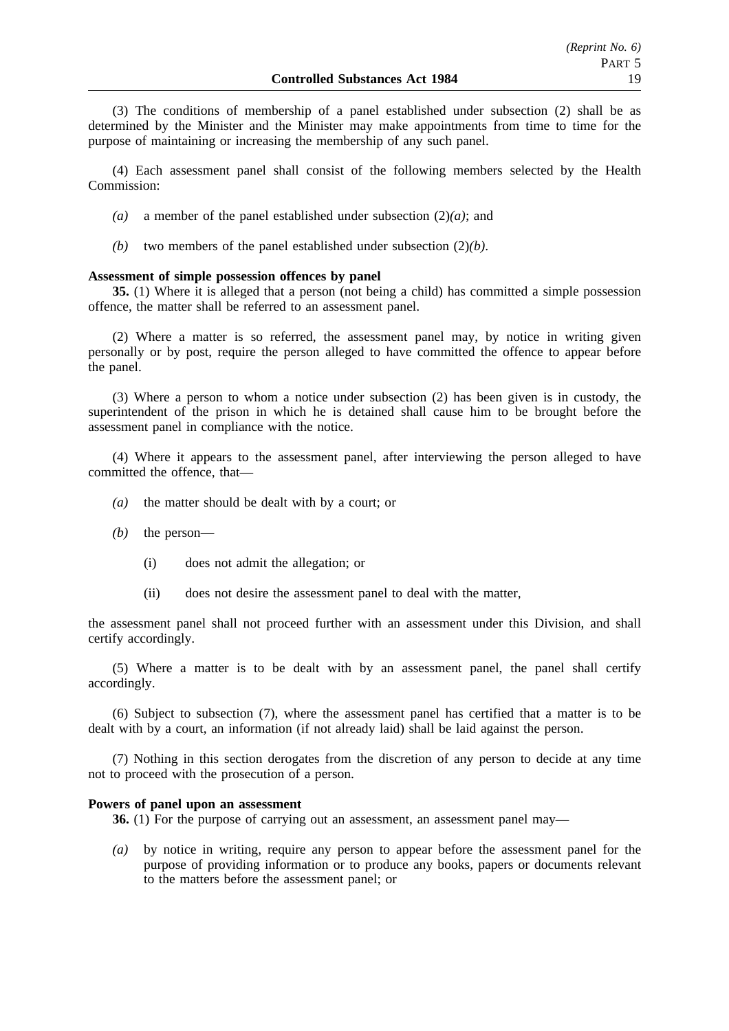(3) The conditions of membership of a panel established under subsection (2) shall be as determined by the Minister and the Minister may make appointments from time to time for the purpose of maintaining or increasing the membership of any such panel.

(4) Each assessment panel shall consist of the following members selected by the Health Commission:

- *(a)* a member of the panel established under subsection (2)*(a)*; and
- *(b)* two members of the panel established under subsection (2)*(b)*.

#### **Assessment of simple possession offences by panel**

**35.** (1) Where it is alleged that a person (not being a child) has committed a simple possession offence, the matter shall be referred to an assessment panel.

(2) Where a matter is so referred, the assessment panel may, by notice in writing given personally or by post, require the person alleged to have committed the offence to appear before the panel.

(3) Where a person to whom a notice under subsection (2) has been given is in custody, the superintendent of the prison in which he is detained shall cause him to be brought before the assessment panel in compliance with the notice.

(4) Where it appears to the assessment panel, after interviewing the person alleged to have committed the offence, that—

- *(a)* the matter should be dealt with by a court; or
- *(b)* the person—
	- (i) does not admit the allegation; or
	- (ii) does not desire the assessment panel to deal with the matter,

the assessment panel shall not proceed further with an assessment under this Division, and shall certify accordingly.

(5) Where a matter is to be dealt with by an assessment panel, the panel shall certify accordingly.

(6) Subject to subsection (7), where the assessment panel has certified that a matter is to be dealt with by a court, an information (if not already laid) shall be laid against the person.

(7) Nothing in this section derogates from the discretion of any person to decide at any time not to proceed with the prosecution of a person.

#### **Powers of panel upon an assessment**

**36.** (1) For the purpose of carrying out an assessment, an assessment panel may—

*(a)* by notice in writing, require any person to appear before the assessment panel for the purpose of providing information or to produce any books, papers or documents relevant to the matters before the assessment panel; or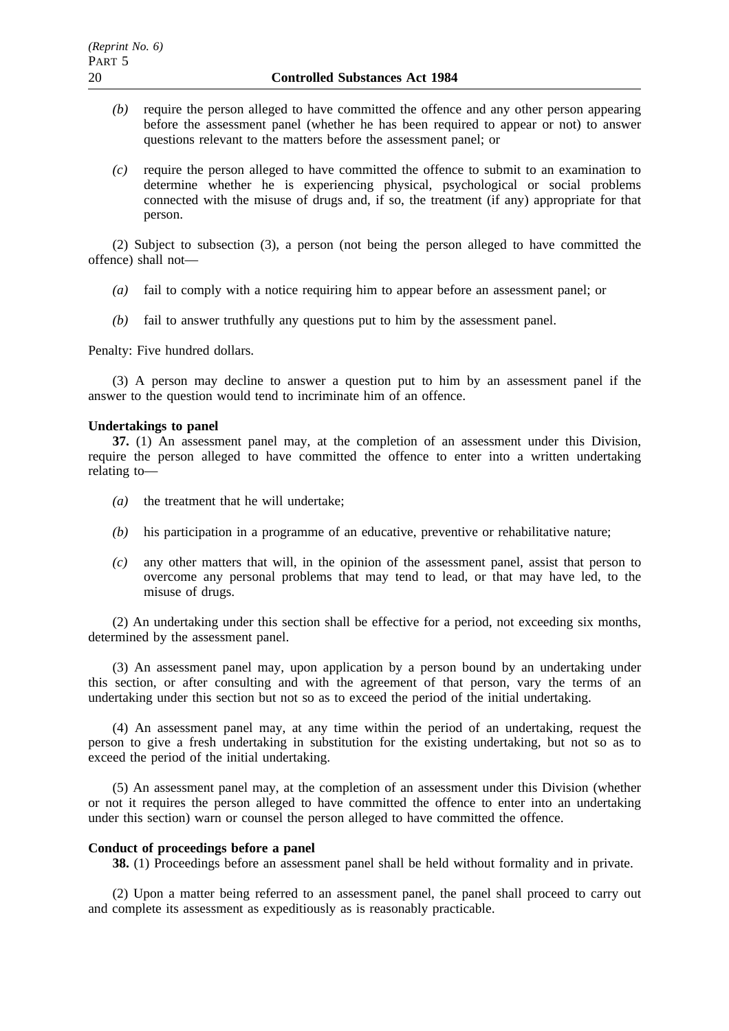- *(b)* require the person alleged to have committed the offence and any other person appearing before the assessment panel (whether he has been required to appear or not) to answer questions relevant to the matters before the assessment panel; or
- *(c)* require the person alleged to have committed the offence to submit to an examination to determine whether he is experiencing physical, psychological or social problems connected with the misuse of drugs and, if so, the treatment (if any) appropriate for that person.

(2) Subject to subsection (3), a person (not being the person alleged to have committed the offence) shall not—

- *(a)* fail to comply with a notice requiring him to appear before an assessment panel; or
- *(b)* fail to answer truthfully any questions put to him by the assessment panel.

Penalty: Five hundred dollars.

(3) A person may decline to answer a question put to him by an assessment panel if the answer to the question would tend to incriminate him of an offence.

#### **Undertakings to panel**

**37.** (1) An assessment panel may, at the completion of an assessment under this Division, require the person alleged to have committed the offence to enter into a written undertaking relating to—

- *(a)* the treatment that he will undertake;
- *(b)* his participation in a programme of an educative, preventive or rehabilitative nature;
- *(c)* any other matters that will, in the opinion of the assessment panel, assist that person to overcome any personal problems that may tend to lead, or that may have led, to the misuse of drugs.

(2) An undertaking under this section shall be effective for a period, not exceeding six months, determined by the assessment panel.

(3) An assessment panel may, upon application by a person bound by an undertaking under this section, or after consulting and with the agreement of that person, vary the terms of an undertaking under this section but not so as to exceed the period of the initial undertaking.

(4) An assessment panel may, at any time within the period of an undertaking, request the person to give a fresh undertaking in substitution for the existing undertaking, but not so as to exceed the period of the initial undertaking.

(5) An assessment panel may, at the completion of an assessment under this Division (whether or not it requires the person alleged to have committed the offence to enter into an undertaking under this section) warn or counsel the person alleged to have committed the offence.

#### **Conduct of proceedings before a panel**

**38.** (1) Proceedings before an assessment panel shall be held without formality and in private.

(2) Upon a matter being referred to an assessment panel, the panel shall proceed to carry out and complete its assessment as expeditiously as is reasonably practicable.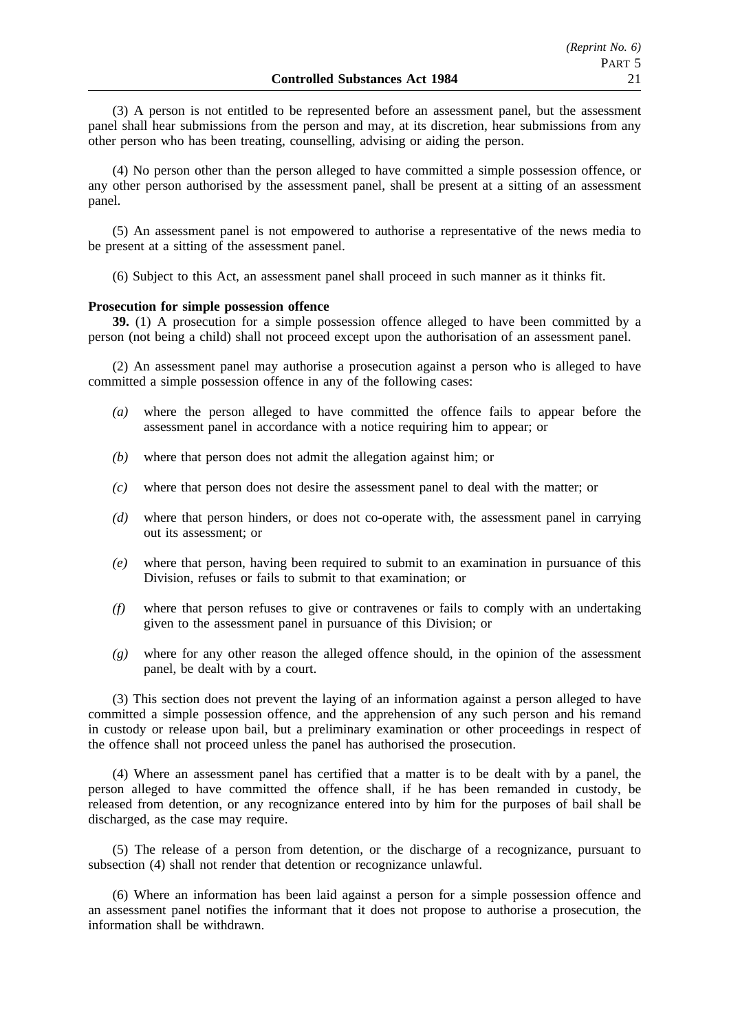(3) A person is not entitled to be represented before an assessment panel, but the assessment panel shall hear submissions from the person and may, at its discretion, hear submissions from any other person who has been treating, counselling, advising or aiding the person.

(4) No person other than the person alleged to have committed a simple possession offence, or any other person authorised by the assessment panel, shall be present at a sitting of an assessment panel.

(5) An assessment panel is not empowered to authorise a representative of the news media to be present at a sitting of the assessment panel.

(6) Subject to this Act, an assessment panel shall proceed in such manner as it thinks fit.

#### **Prosecution for simple possession offence**

**39.** (1) A prosecution for a simple possession offence alleged to have been committed by a person (not being a child) shall not proceed except upon the authorisation of an assessment panel.

(2) An assessment panel may authorise a prosecution against a person who is alleged to have committed a simple possession offence in any of the following cases:

- *(a)* where the person alleged to have committed the offence fails to appear before the assessment panel in accordance with a notice requiring him to appear; or
- *(b)* where that person does not admit the allegation against him; or
- *(c)* where that person does not desire the assessment panel to deal with the matter; or
- *(d)* where that person hinders, or does not co-operate with, the assessment panel in carrying out its assessment; or
- *(e)* where that person, having been required to submit to an examination in pursuance of this Division, refuses or fails to submit to that examination; or
- *(f)* where that person refuses to give or contravenes or fails to comply with an undertaking given to the assessment panel in pursuance of this Division; or
- *(g)* where for any other reason the alleged offence should, in the opinion of the assessment panel, be dealt with by a court.

(3) This section does not prevent the laying of an information against a person alleged to have committed a simple possession offence, and the apprehension of any such person and his remand in custody or release upon bail, but a preliminary examination or other proceedings in respect of the offence shall not proceed unless the panel has authorised the prosecution.

(4) Where an assessment panel has certified that a matter is to be dealt with by a panel, the person alleged to have committed the offence shall, if he has been remanded in custody, be released from detention, or any recognizance entered into by him for the purposes of bail shall be discharged, as the case may require.

(5) The release of a person from detention, or the discharge of a recognizance, pursuant to subsection (4) shall not render that detention or recognizance unlawful.

(6) Where an information has been laid against a person for a simple possession offence and an assessment panel notifies the informant that it does not propose to authorise a prosecution, the information shall be withdrawn.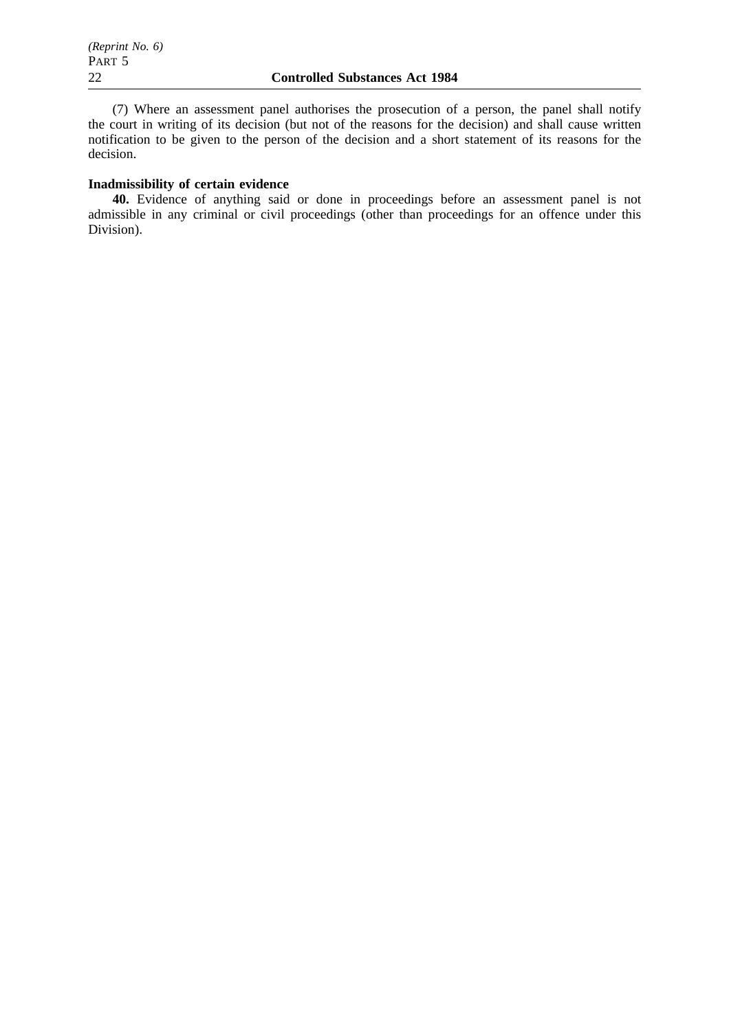(7) Where an assessment panel authorises the prosecution of a person, the panel shall notify the court in writing of its decision (but not of the reasons for the decision) and shall cause written notification to be given to the person of the decision and a short statement of its reasons for the decision.

# **Inadmissibility of certain evidence**

**40.** Evidence of anything said or done in proceedings before an assessment panel is not admissible in any criminal or civil proceedings (other than proceedings for an offence under this Division).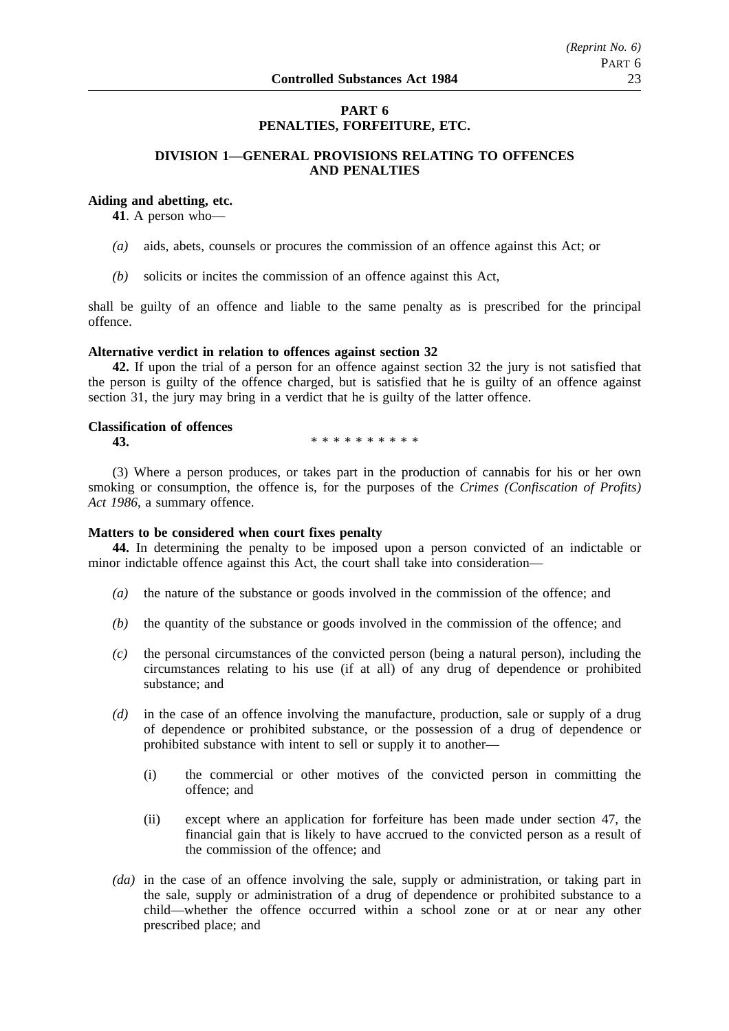# **PART 6 PENALTIES, FORFEITURE, ETC.**

# **DIVISION 1—GENERAL PROVISIONS RELATING TO OFFENCES AND PENALTIES**

# **Aiding and abetting, etc.**

**41**. A person who—

- *(a)* aids, abets, counsels or procures the commission of an offence against this Act; or
- *(b)* solicits or incites the commission of an offence against this Act,

shall be guilty of an offence and liable to the same penalty as is prescribed for the principal offence.

#### **Alternative verdict in relation to offences against section 32**

**42.** If upon the trial of a person for an offence against section 32 the jury is not satisfied that the person is guilty of the offence charged, but is satisfied that he is guilty of an offence against section 31, the jury may bring in a verdict that he is guilty of the latter offence.

## **Classification of offences**

**43.** \*\*\*\*\*\*\*\*\*\*\*

(3) Where a person produces, or takes part in the production of cannabis for his or her own smoking or consumption, the offence is, for the purposes of the *Crimes (Confiscation of Profits) Act 1986*, a summary offence.

#### **Matters to be considered when court fixes penalty**

**44.** In determining the penalty to be imposed upon a person convicted of an indictable or minor indictable offence against this Act, the court shall take into consideration—

- *(a)* the nature of the substance or goods involved in the commission of the offence; and
- *(b)* the quantity of the substance or goods involved in the commission of the offence; and
- *(c)* the personal circumstances of the convicted person (being a natural person), including the circumstances relating to his use (if at all) of any drug of dependence or prohibited substance; and
- *(d)* in the case of an offence involving the manufacture, production, sale or supply of a drug of dependence or prohibited substance, or the possession of a drug of dependence or prohibited substance with intent to sell or supply it to another—
	- (i) the commercial or other motives of the convicted person in committing the offence; and
	- (ii) except where an application for forfeiture has been made under section 47, the financial gain that is likely to have accrued to the convicted person as a result of the commission of the offence; and
- *(da)* in the case of an offence involving the sale, supply or administration, or taking part in the sale, supply or administration of a drug of dependence or prohibited substance to a child—whether the offence occurred within a school zone or at or near any other prescribed place; and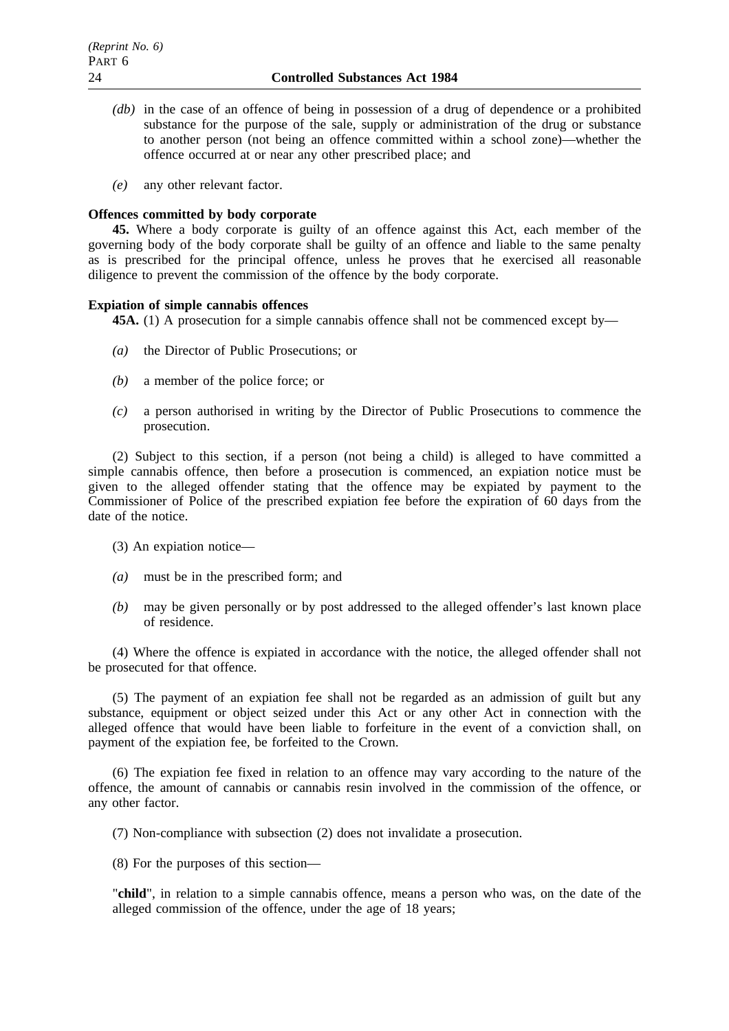- *(db)* in the case of an offence of being in possession of a drug of dependence or a prohibited substance for the purpose of the sale, supply or administration of the drug or substance to another person (not being an offence committed within a school zone)—whether the offence occurred at or near any other prescribed place; and
- *(e)* any other relevant factor.

## **Offences committed by body corporate**

**45.** Where a body corporate is guilty of an offence against this Act, each member of the governing body of the body corporate shall be guilty of an offence and liable to the same penalty as is prescribed for the principal offence, unless he proves that he exercised all reasonable diligence to prevent the commission of the offence by the body corporate.

## **Expiation of simple cannabis offences**

**45A.** (1) A prosecution for a simple cannabis offence shall not be commenced except by—

- *(a)* the Director of Public Prosecutions; or
- *(b)* a member of the police force; or
- *(c)* a person authorised in writing by the Director of Public Prosecutions to commence the prosecution.

(2) Subject to this section, if a person (not being a child) is alleged to have committed a simple cannabis offence, then before a prosecution is commenced, an expiation notice must be given to the alleged offender stating that the offence may be expiated by payment to the Commissioner of Police of the prescribed expiation fee before the expiration of 60 days from the date of the notice.

(3) An expiation notice—

- *(a)* must be in the prescribed form; and
- *(b)* may be given personally or by post addressed to the alleged offender's last known place of residence.

(4) Where the offence is expiated in accordance with the notice, the alleged offender shall not be prosecuted for that offence.

(5) The payment of an expiation fee shall not be regarded as an admission of guilt but any substance, equipment or object seized under this Act or any other Act in connection with the alleged offence that would have been liable to forfeiture in the event of a conviction shall, on payment of the expiation fee, be forfeited to the Crown.

(6) The expiation fee fixed in relation to an offence may vary according to the nature of the offence, the amount of cannabis or cannabis resin involved in the commission of the offence, or any other factor.

(7) Non-compliance with subsection (2) does not invalidate a prosecution.

(8) For the purposes of this section—

"**child**", in relation to a simple cannabis offence, means a person who was, on the date of the alleged commission of the offence, under the age of 18 years;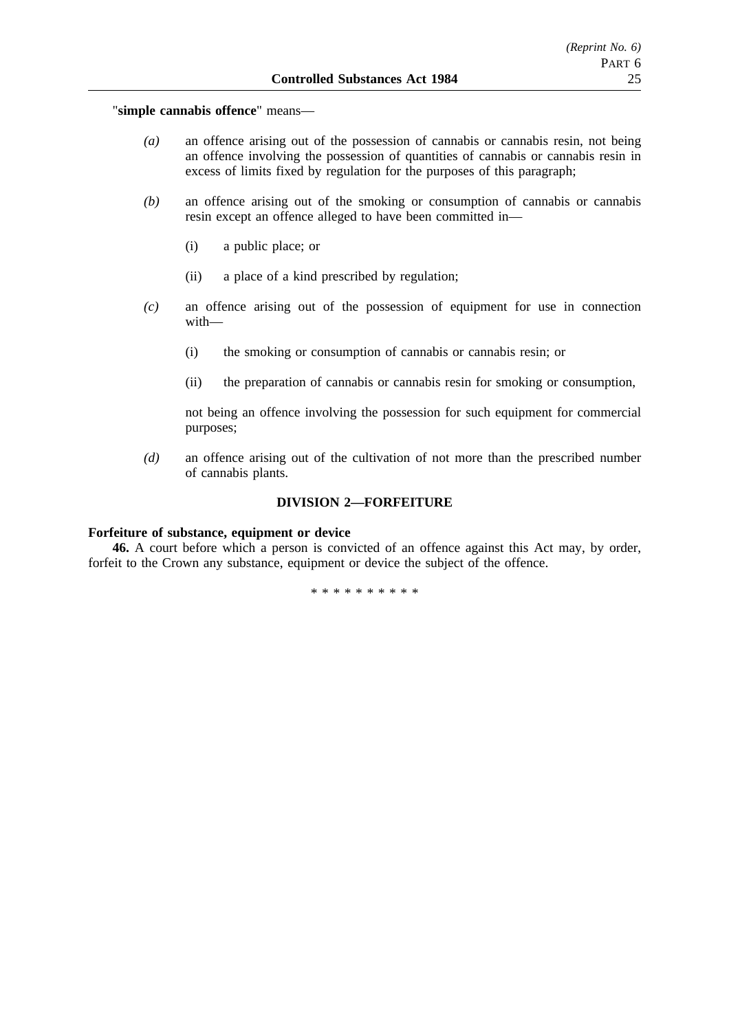"**simple cannabis offence**" means—

- *(a)* an offence arising out of the possession of cannabis or cannabis resin, not being an offence involving the possession of quantities of cannabis or cannabis resin in excess of limits fixed by regulation for the purposes of this paragraph;
- *(b)* an offence arising out of the smoking or consumption of cannabis or cannabis resin except an offence alleged to have been committed in—
	- (i) a public place; or
	- (ii) a place of a kind prescribed by regulation;
- *(c)* an offence arising out of the possession of equipment for use in connection with—
	- (i) the smoking or consumption of cannabis or cannabis resin; or
	- (ii) the preparation of cannabis or cannabis resin for smoking or consumption,

not being an offence involving the possession for such equipment for commercial purposes;

*(d)* an offence arising out of the cultivation of not more than the prescribed number of cannabis plants.

## **DIVISION 2—FORFEITURE**

## **Forfeiture of substance, equipment or device**

**46.** A court before which a person is convicted of an offence against this Act may, by order, forfeit to the Crown any substance, equipment or device the subject of the offence.

\*\*\*\*\*\*\*\*\*\*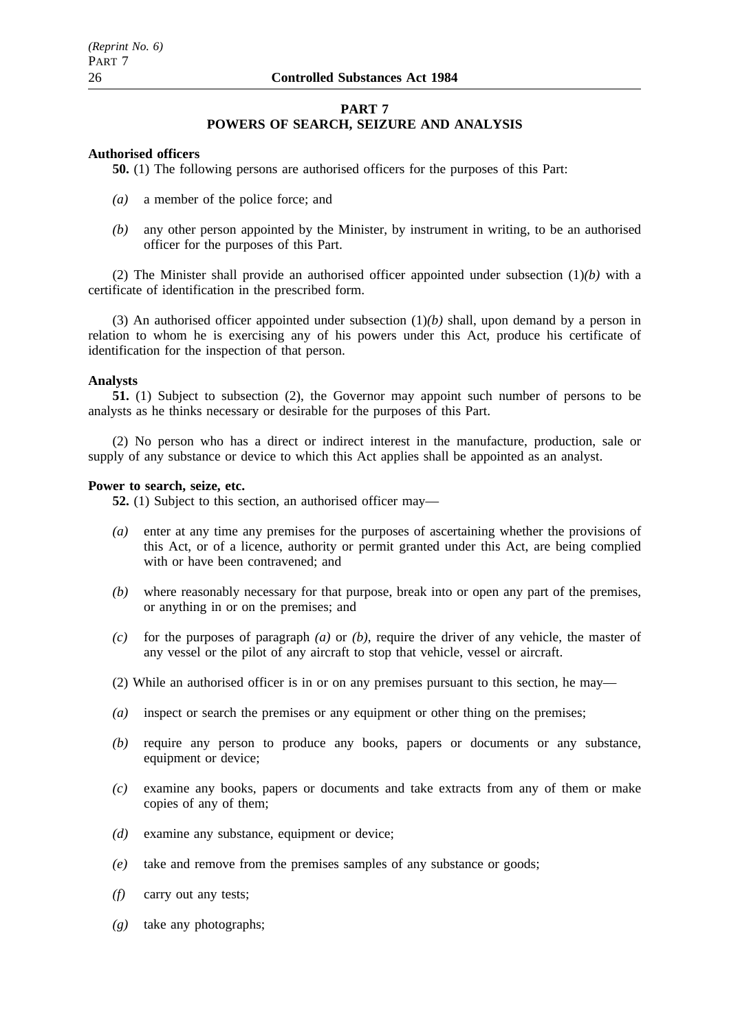# **PART 7 POWERS OF SEARCH, SEIZURE AND ANALYSIS**

## **Authorised officers**

**50.** (1) The following persons are authorised officers for the purposes of this Part:

- *(a)* a member of the police force; and
- *(b)* any other person appointed by the Minister, by instrument in writing, to be an authorised officer for the purposes of this Part.

(2) The Minister shall provide an authorised officer appointed under subsection (1)*(b)* with a certificate of identification in the prescribed form.

(3) An authorised officer appointed under subsection (1)*(b)* shall, upon demand by a person in relation to whom he is exercising any of his powers under this Act, produce his certificate of identification for the inspection of that person.

## **Analysts**

**51.** (1) Subject to subsection (2), the Governor may appoint such number of persons to be analysts as he thinks necessary or desirable for the purposes of this Part.

(2) No person who has a direct or indirect interest in the manufacture, production, sale or supply of any substance or device to which this Act applies shall be appointed as an analyst.

## **Power to search, seize, etc.**

**52.** (1) Subject to this section, an authorised officer may—

- *(a)* enter at any time any premises for the purposes of ascertaining whether the provisions of this Act, or of a licence, authority or permit granted under this Act, are being complied with or have been contravened; and
- *(b)* where reasonably necessary for that purpose, break into or open any part of the premises, or anything in or on the premises; and
- *(c)* for the purposes of paragraph *(a)* or *(b)*, require the driver of any vehicle, the master of any vessel or the pilot of any aircraft to stop that vehicle, vessel or aircraft.
- (2) While an authorised officer is in or on any premises pursuant to this section, he may—
- *(a)* inspect or search the premises or any equipment or other thing on the premises;
- *(b)* require any person to produce any books, papers or documents or any substance, equipment or device;
- *(c)* examine any books, papers or documents and take extracts from any of them or make copies of any of them;
- *(d)* examine any substance, equipment or device;
- *(e)* take and remove from the premises samples of any substance or goods;
- *(f)* carry out any tests;
- *(g)* take any photographs;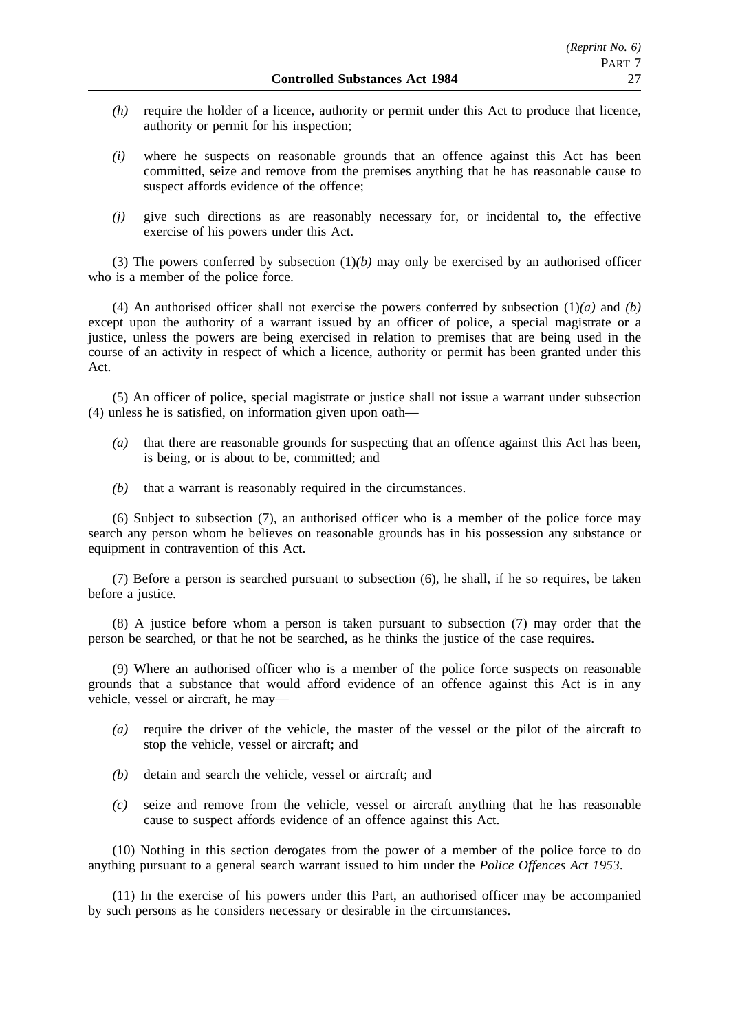- *(h)* require the holder of a licence, authority or permit under this Act to produce that licence, authority or permit for his inspection;
- *(i)* where he suspects on reasonable grounds that an offence against this Act has been committed, seize and remove from the premises anything that he has reasonable cause to suspect affords evidence of the offence;
- *(j)* give such directions as are reasonably necessary for, or incidental to, the effective exercise of his powers under this Act.

(3) The powers conferred by subsection (1)*(b)* may only be exercised by an authorised officer who is a member of the police force.

(4) An authorised officer shall not exercise the powers conferred by subsection (1)*(a)* and *(b)* except upon the authority of a warrant issued by an officer of police, a special magistrate or a justice, unless the powers are being exercised in relation to premises that are being used in the course of an activity in respect of which a licence, authority or permit has been granted under this Act.

(5) An officer of police, special magistrate or justice shall not issue a warrant under subsection (4) unless he is satisfied, on information given upon oath—

- *(a)* that there are reasonable grounds for suspecting that an offence against this Act has been, is being, or is about to be, committed; and
- *(b)* that a warrant is reasonably required in the circumstances.

(6) Subject to subsection (7), an authorised officer who is a member of the police force may search any person whom he believes on reasonable grounds has in his possession any substance or equipment in contravention of this Act.

(7) Before a person is searched pursuant to subsection (6), he shall, if he so requires, be taken before a justice.

(8) A justice before whom a person is taken pursuant to subsection (7) may order that the person be searched, or that he not be searched, as he thinks the justice of the case requires.

(9) Where an authorised officer who is a member of the police force suspects on reasonable grounds that a substance that would afford evidence of an offence against this Act is in any vehicle, vessel or aircraft, he may—

- *(a)* require the driver of the vehicle, the master of the vessel or the pilot of the aircraft to stop the vehicle, vessel or aircraft; and
- *(b)* detain and search the vehicle, vessel or aircraft; and
- *(c)* seize and remove from the vehicle, vessel or aircraft anything that he has reasonable cause to suspect affords evidence of an offence against this Act.

(10) Nothing in this section derogates from the power of a member of the police force to do anything pursuant to a general search warrant issued to him under the *Police Offences Act 1953*.

(11) In the exercise of his powers under this Part, an authorised officer may be accompanied by such persons as he considers necessary or desirable in the circumstances.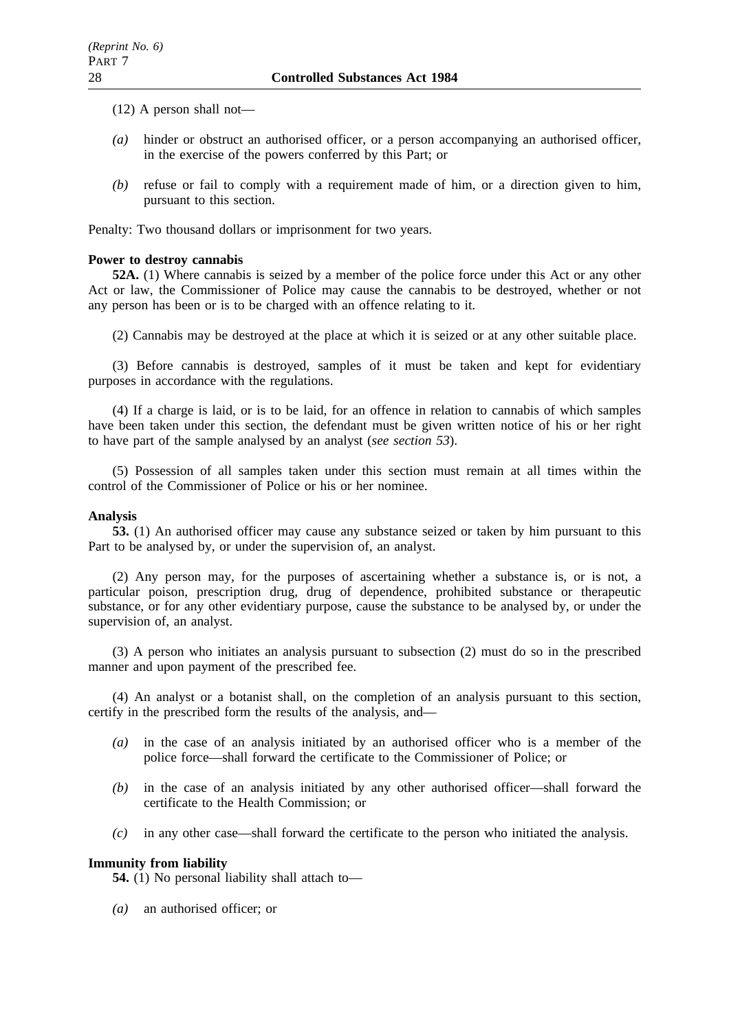(12) A person shall not—

- *(a)* hinder or obstruct an authorised officer, or a person accompanying an authorised officer, in the exercise of the powers conferred by this Part; or
- *(b)* refuse or fail to comply with a requirement made of him, or a direction given to him, pursuant to this section.

Penalty: Two thousand dollars or imprisonment for two years.

# **Power to destroy cannabis**

**52A.** (1) Where cannabis is seized by a member of the police force under this Act or any other Act or law, the Commissioner of Police may cause the cannabis to be destroyed, whether or not any person has been or is to be charged with an offence relating to it.

(2) Cannabis may be destroyed at the place at which it is seized or at any other suitable place.

(3) Before cannabis is destroyed, samples of it must be taken and kept for evidentiary purposes in accordance with the regulations.

(4) If a charge is laid, or is to be laid, for an offence in relation to cannabis of which samples have been taken under this section, the defendant must be given written notice of his or her right to have part of the sample analysed by an analyst (*see section 53*).

(5) Possession of all samples taken under this section must remain at all times within the control of the Commissioner of Police or his or her nominee.

# **Analysis**

**53.** (1) An authorised officer may cause any substance seized or taken by him pursuant to this Part to be analysed by, or under the supervision of, an analyst.

(2) Any person may, for the purposes of ascertaining whether a substance is, or is not, a particular poison, prescription drug, drug of dependence, prohibited substance or therapeutic substance, or for any other evidentiary purpose, cause the substance to be analysed by, or under the supervision of, an analyst.

(3) A person who initiates an analysis pursuant to subsection (2) must do so in the prescribed manner and upon payment of the prescribed fee.

(4) An analyst or a botanist shall, on the completion of an analysis pursuant to this section, certify in the prescribed form the results of the analysis, and—

- *(a)* in the case of an analysis initiated by an authorised officer who is a member of the police force—shall forward the certificate to the Commissioner of Police; or
- *(b)* in the case of an analysis initiated by any other authorised officer—shall forward the certificate to the Health Commission; or
- *(c)* in any other case—shall forward the certificate to the person who initiated the analysis.

# **Immunity from liability**

**54.** (1) No personal liability shall attach to—

*(a)* an authorised officer; or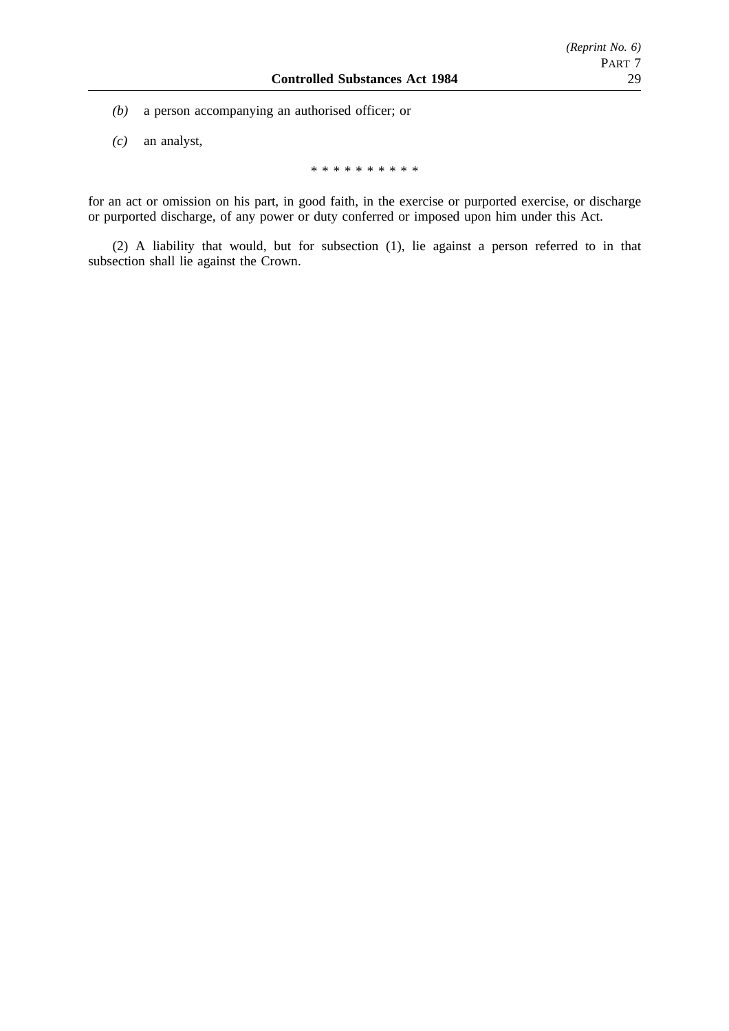- *(b)* a person accompanying an authorised officer; or
- *(c)* an analyst,

\*\*\*\*\*\*\*\*\*\*

for an act or omission on his part, in good faith, in the exercise or purported exercise, or discharge or purported discharge, of any power or duty conferred or imposed upon him under this Act.

(2) A liability that would, but for subsection (1), lie against a person referred to in that subsection shall lie against the Crown.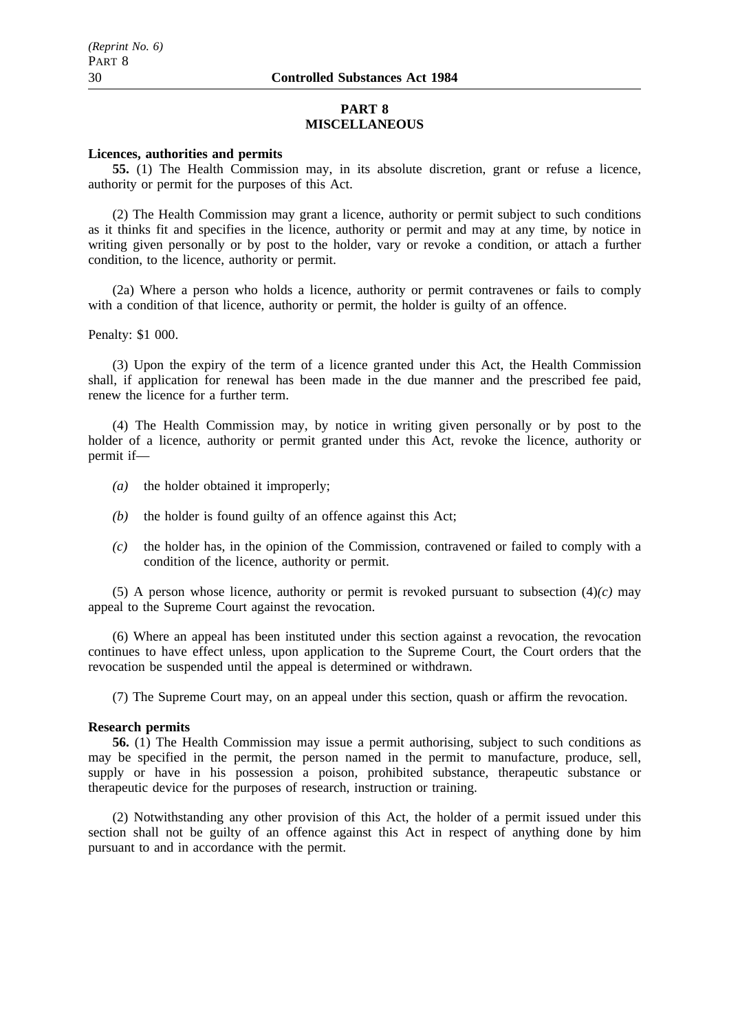#### **PART 8 MISCELLANEOUS**

## **Licences, authorities and permits**

**55.** (1) The Health Commission may, in its absolute discretion, grant or refuse a licence, authority or permit for the purposes of this Act.

(2) The Health Commission may grant a licence, authority or permit subject to such conditions as it thinks fit and specifies in the licence, authority or permit and may at any time, by notice in writing given personally or by post to the holder, vary or revoke a condition, or attach a further condition, to the licence, authority or permit.

(2a) Where a person who holds a licence, authority or permit contravenes or fails to comply with a condition of that licence, authority or permit, the holder is guilty of an offence.

Penalty: \$1 000.

(3) Upon the expiry of the term of a licence granted under this Act, the Health Commission shall, if application for renewal has been made in the due manner and the prescribed fee paid, renew the licence for a further term.

(4) The Health Commission may, by notice in writing given personally or by post to the holder of a licence, authority or permit granted under this Act, revoke the licence, authority or permit if—

- *(a)* the holder obtained it improperly;
- *(b)* the holder is found guilty of an offence against this Act;
- *(c)* the holder has, in the opinion of the Commission, contravened or failed to comply with a condition of the licence, authority or permit.

(5) A person whose licence, authority or permit is revoked pursuant to subsection (4)*(c)* may appeal to the Supreme Court against the revocation.

(6) Where an appeal has been instituted under this section against a revocation, the revocation continues to have effect unless, upon application to the Supreme Court, the Court orders that the revocation be suspended until the appeal is determined or withdrawn.

(7) The Supreme Court may, on an appeal under this section, quash or affirm the revocation.

#### **Research permits**

**56.** (1) The Health Commission may issue a permit authorising, subject to such conditions as may be specified in the permit, the person named in the permit to manufacture, produce, sell, supply or have in his possession a poison, prohibited substance, therapeutic substance or therapeutic device for the purposes of research, instruction or training.

(2) Notwithstanding any other provision of this Act, the holder of a permit issued under this section shall not be guilty of an offence against this Act in respect of anything done by him pursuant to and in accordance with the permit.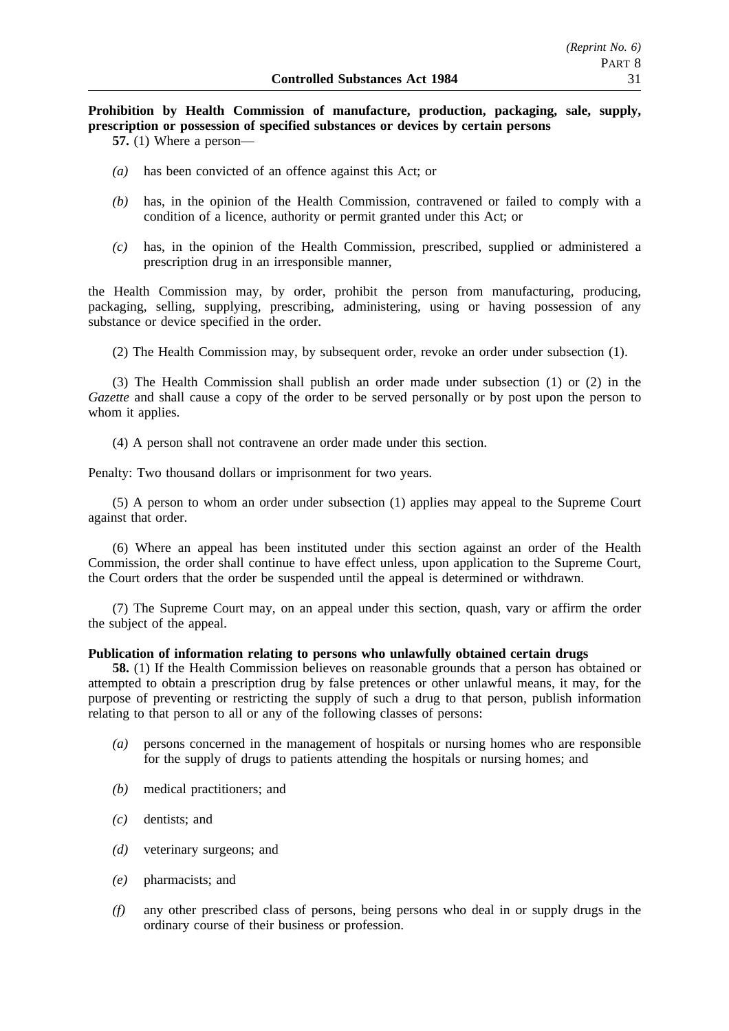# **Prohibition by Health Commission of manufacture, production, packaging, sale, supply, prescription or possession of specified substances or devices by certain persons**

**57.** (1) Where a person—

- *(a)* has been convicted of an offence against this Act; or
- *(b)* has, in the opinion of the Health Commission, contravened or failed to comply with a condition of a licence, authority or permit granted under this Act; or
- *(c)* has, in the opinion of the Health Commission, prescribed, supplied or administered a prescription drug in an irresponsible manner,

the Health Commission may, by order, prohibit the person from manufacturing, producing, packaging, selling, supplying, prescribing, administering, using or having possession of any substance or device specified in the order.

(2) The Health Commission may, by subsequent order, revoke an order under subsection (1).

(3) The Health Commission shall publish an order made under subsection (1) or (2) in the *Gazette* and shall cause a copy of the order to be served personally or by post upon the person to whom it applies.

(4) A person shall not contravene an order made under this section.

Penalty: Two thousand dollars or imprisonment for two years.

(5) A person to whom an order under subsection (1) applies may appeal to the Supreme Court against that order.

(6) Where an appeal has been instituted under this section against an order of the Health Commission, the order shall continue to have effect unless, upon application to the Supreme Court, the Court orders that the order be suspended until the appeal is determined or withdrawn.

(7) The Supreme Court may, on an appeal under this section, quash, vary or affirm the order the subject of the appeal.

## **Publication of information relating to persons who unlawfully obtained certain drugs**

**58.** (1) If the Health Commission believes on reasonable grounds that a person has obtained or attempted to obtain a prescription drug by false pretences or other unlawful means, it may, for the purpose of preventing or restricting the supply of such a drug to that person, publish information relating to that person to all or any of the following classes of persons:

- *(a)* persons concerned in the management of hospitals or nursing homes who are responsible for the supply of drugs to patients attending the hospitals or nursing homes; and
- *(b)* medical practitioners; and
- *(c)* dentists; and
- *(d)* veterinary surgeons; and
- *(e)* pharmacists; and
- *(f)* any other prescribed class of persons, being persons who deal in or supply drugs in the ordinary course of their business or profession.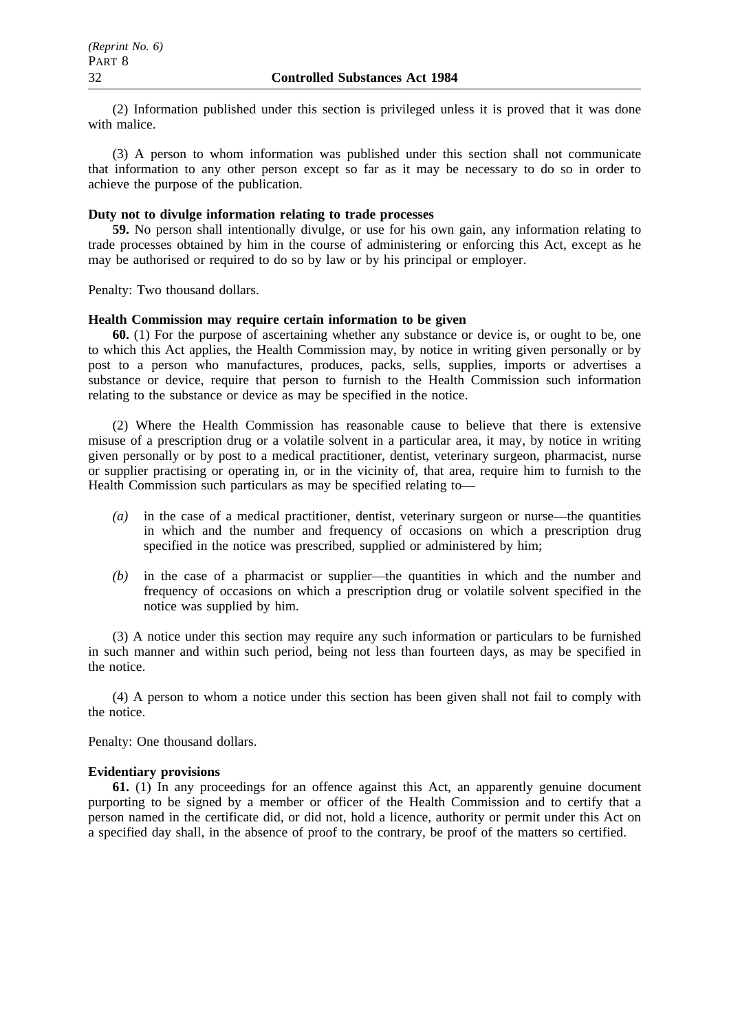(2) Information published under this section is privileged unless it is proved that it was done with malice.

(3) A person to whom information was published under this section shall not communicate that information to any other person except so far as it may be necessary to do so in order to achieve the purpose of the publication.

#### **Duty not to divulge information relating to trade processes**

**59.** No person shall intentionally divulge, or use for his own gain, any information relating to trade processes obtained by him in the course of administering or enforcing this Act, except as he may be authorised or required to do so by law or by his principal or employer.

Penalty: Two thousand dollars.

#### **Health Commission may require certain information to be given**

**60.** (1) For the purpose of ascertaining whether any substance or device is, or ought to be, one to which this Act applies, the Health Commission may, by notice in writing given personally or by post to a person who manufactures, produces, packs, sells, supplies, imports or advertises a substance or device, require that person to furnish to the Health Commission such information relating to the substance or device as may be specified in the notice.

(2) Where the Health Commission has reasonable cause to believe that there is extensive misuse of a prescription drug or a volatile solvent in a particular area, it may, by notice in writing given personally or by post to a medical practitioner, dentist, veterinary surgeon, pharmacist, nurse or supplier practising or operating in, or in the vicinity of, that area, require him to furnish to the Health Commission such particulars as may be specified relating to—

- *(a)* in the case of a medical practitioner, dentist, veterinary surgeon or nurse—the quantities in which and the number and frequency of occasions on which a prescription drug specified in the notice was prescribed, supplied or administered by him;
- *(b)* in the case of a pharmacist or supplier—the quantities in which and the number and frequency of occasions on which a prescription drug or volatile solvent specified in the notice was supplied by him.

(3) A notice under this section may require any such information or particulars to be furnished in such manner and within such period, being not less than fourteen days, as may be specified in the notice.

(4) A person to whom a notice under this section has been given shall not fail to comply with the notice.

Penalty: One thousand dollars.

#### **Evidentiary provisions**

**61.** (1) In any proceedings for an offence against this Act, an apparently genuine document purporting to be signed by a member or officer of the Health Commission and to certify that a person named in the certificate did, or did not, hold a licence, authority or permit under this Act on a specified day shall, in the absence of proof to the contrary, be proof of the matters so certified.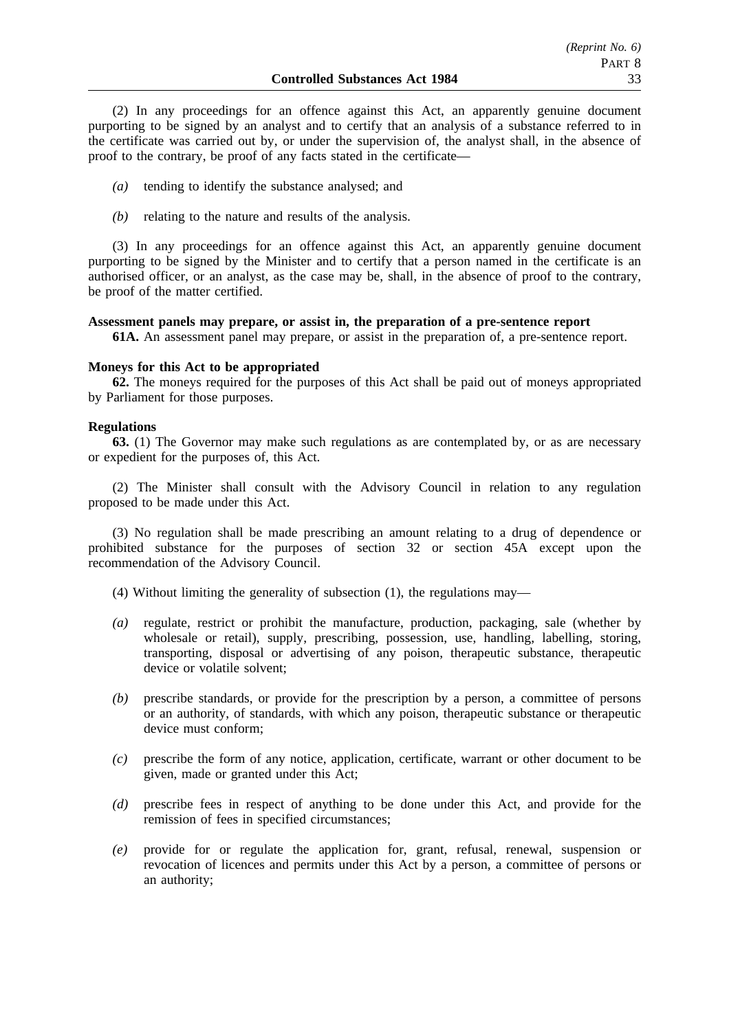(2) In any proceedings for an offence against this Act, an apparently genuine document purporting to be signed by an analyst and to certify that an analysis of a substance referred to in the certificate was carried out by, or under the supervision of, the analyst shall, in the absence of proof to the contrary, be proof of any facts stated in the certificate—

- *(a)* tending to identify the substance analysed; and
- *(b)* relating to the nature and results of the analysis.

(3) In any proceedings for an offence against this Act, an apparently genuine document purporting to be signed by the Minister and to certify that a person named in the certificate is an authorised officer, or an analyst, as the case may be, shall, in the absence of proof to the contrary, be proof of the matter certified.

#### **Assessment panels may prepare, or assist in, the preparation of a pre-sentence report**

**61A.** An assessment panel may prepare, or assist in the preparation of, a pre-sentence report.

#### **Moneys for this Act to be appropriated**

**62.** The moneys required for the purposes of this Act shall be paid out of moneys appropriated by Parliament for those purposes.

#### **Regulations**

**63.** (1) The Governor may make such regulations as are contemplated by, or as are necessary or expedient for the purposes of, this Act.

(2) The Minister shall consult with the Advisory Council in relation to any regulation proposed to be made under this Act.

(3) No regulation shall be made prescribing an amount relating to a drug of dependence or prohibited substance for the purposes of section 32 or section 45A except upon the recommendation of the Advisory Council.

(4) Without limiting the generality of subsection (1), the regulations may—

- *(a)* regulate, restrict or prohibit the manufacture, production, packaging, sale (whether by wholesale or retail), supply, prescribing, possession, use, handling, labelling, storing, transporting, disposal or advertising of any poison, therapeutic substance, therapeutic device or volatile solvent;
- *(b)* prescribe standards, or provide for the prescription by a person, a committee of persons or an authority, of standards, with which any poison, therapeutic substance or therapeutic device must conform;
- *(c)* prescribe the form of any notice, application, certificate, warrant or other document to be given, made or granted under this Act;
- *(d)* prescribe fees in respect of anything to be done under this Act, and provide for the remission of fees in specified circumstances;
- *(e)* provide for or regulate the application for, grant, refusal, renewal, suspension or revocation of licences and permits under this Act by a person, a committee of persons or an authority;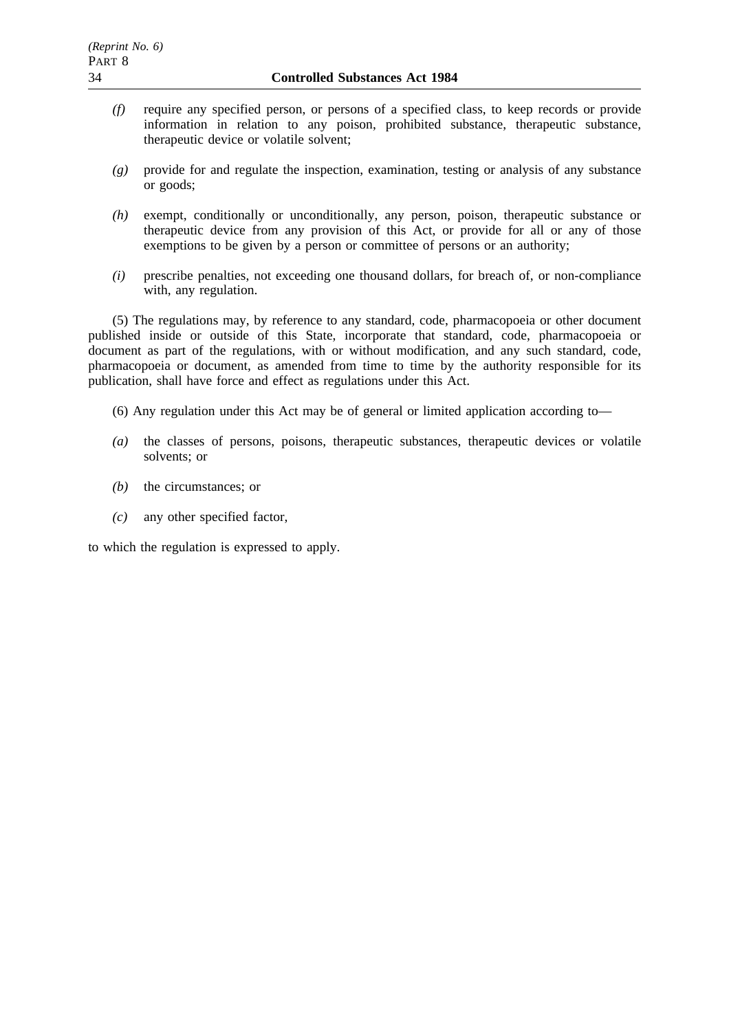- *(f)* require any specified person, or persons of a specified class, to keep records or provide information in relation to any poison, prohibited substance, therapeutic substance, therapeutic device or volatile solvent;
- *(g)* provide for and regulate the inspection, examination, testing or analysis of any substance or goods;
- *(h)* exempt, conditionally or unconditionally, any person, poison, therapeutic substance or therapeutic device from any provision of this Act, or provide for all or any of those exemptions to be given by a person or committee of persons or an authority;
- *(i)* prescribe penalties, not exceeding one thousand dollars, for breach of, or non-compliance with, any regulation.

(5) The regulations may, by reference to any standard, code, pharmacopoeia or other document published inside or outside of this State, incorporate that standard, code, pharmacopoeia or document as part of the regulations, with or without modification, and any such standard, code, pharmacopoeia or document, as amended from time to time by the authority responsible for its publication, shall have force and effect as regulations under this Act.

- (6) Any regulation under this Act may be of general or limited application according to—
- *(a)* the classes of persons, poisons, therapeutic substances, therapeutic devices or volatile solvents; or
- *(b)* the circumstances; or
- *(c)* any other specified factor,

to which the regulation is expressed to apply.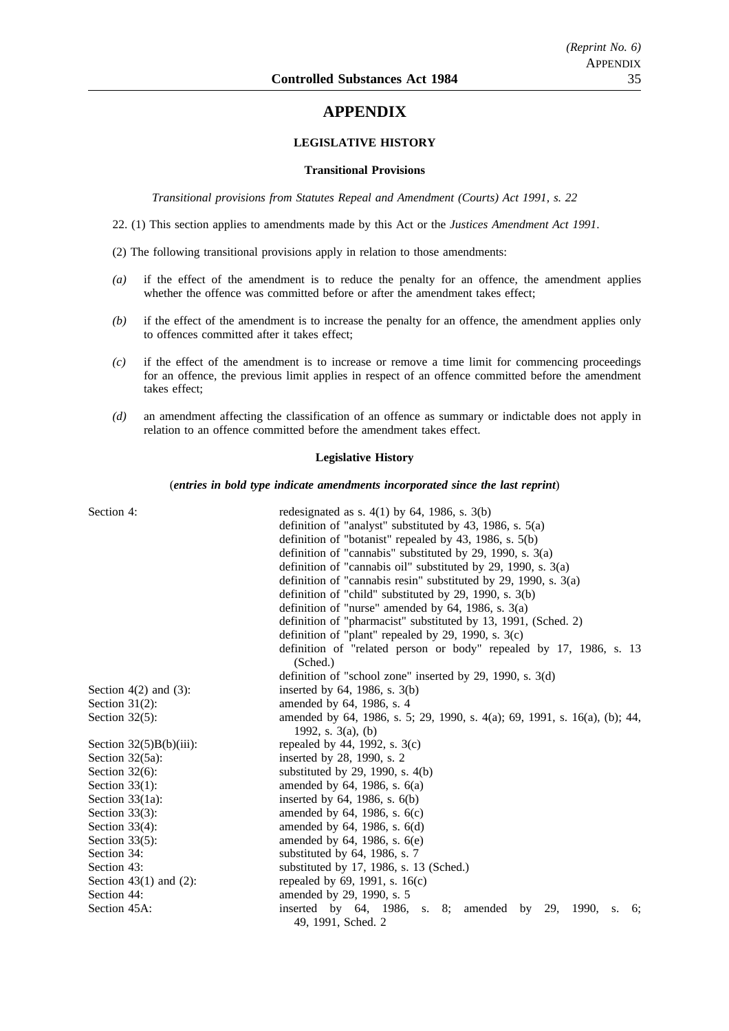# **APPENDIX**

## **LEGISLATIVE HISTORY**

#### **Transitional Provisions**

*Transitional provisions from Statutes Repeal and Amendment (Courts) Act 1991, s. 22*

22. (1) This section applies to amendments made by this Act or the *Justices Amendment Act 1991*.

(2) The following transitional provisions apply in relation to those amendments:

- *(a)* if the effect of the amendment is to reduce the penalty for an offence, the amendment applies whether the offence was committed before or after the amendment takes effect;
- *(b)* if the effect of the amendment is to increase the penalty for an offence, the amendment applies only to offences committed after it takes effect;
- *(c)* if the effect of the amendment is to increase or remove a time limit for commencing proceedings for an offence, the previous limit applies in respect of an offence committed before the amendment takes effect;
- *(d)* an amendment affecting the classification of an offence as summary or indictable does not apply in relation to an offence committed before the amendment takes effect.

#### **Legislative History**

#### (*entries in bold type indicate amendments incorporated since the last reprint*)

| Section 4:                 | redesignated as s. $4(1)$ by 64, 1986, s. $3(b)$                                                       |
|----------------------------|--------------------------------------------------------------------------------------------------------|
|                            | definition of "analyst" substituted by 43, 1986, s. $5(a)$                                             |
|                            | definition of "botanist" repealed by $43$ , 1986, s. $5(b)$                                            |
|                            | definition of "cannabis" substituted by 29, 1990, s. $3(a)$                                            |
|                            | definition of "cannabis oil" substituted by 29, 1990, s. $3(a)$                                        |
|                            | definition of "cannabis resin" substituted by 29, 1990, s. $3(a)$                                      |
|                            | definition of "child" substituted by 29, 1990, s. $3(b)$                                               |
|                            | definition of "nurse" amended by $64$ , 1986, s. $3(a)$                                                |
|                            | definition of "pharmacist" substituted by 13, 1991, (Sched. 2)                                         |
|                            | definition of "plant" repealed by 29, 1990, s. $3(c)$                                                  |
|                            | definition of "related person or body" repealed by 17, 1986, s. 13                                     |
|                            | (Sched.)                                                                                               |
|                            | definition of "school zone" inserted by 29, 1990, s. $3(d)$                                            |
| Section $4(2)$ and $(3)$ : | inserted by $64$ , 1986, s. $3(b)$                                                                     |
| Section $31(2)$ :          | amended by 64, 1986, s. 4                                                                              |
| Section $32(5)$ :          | amended by 64, 1986, s. 5; 29, 1990, s. 4(a); 69, 1991, s. 16(a), (b); 44,<br>1992, s. $3(a)$ , (b)    |
| Section $32(5)B(b)(iii)$ : | repealed by 44, 1992, s. $3(c)$                                                                        |
| Section $32(5a)$ :         | inserted by 28, 1990, s. 2                                                                             |
| Section $32(6)$ :          | substituted by 29, 1990, s. $4(b)$                                                                     |
| Section $33(1)$ :          | amended by $64$ , 1986, s. $6(a)$                                                                      |
| Section $33(1a)$ :         | inserted by $64$ , 1986, s. $6(b)$                                                                     |
| Section $33(3)$ :          | amended by $64$ , 1986, s. $6(c)$                                                                      |
| Section $33(4)$ :          | amended by $64$ , 1986, s. $6(d)$                                                                      |
| Section $33(5)$ :          | amended by $64$ , 1986, s. $6(e)$                                                                      |
| Section 34:                | substituted by $64$ , 1986, s. 7                                                                       |
| Section 43:                | substituted by 17, 1986, s. 13 (Sched.)                                                                |
| Section 43(1) and $(2)$ :  | repealed by 69, 1991, s. 16(c)                                                                         |
| Section 44:                | amended by 29, 1990, s. 5                                                                              |
| Section 45A:               | inserted by $64$ , 1986,<br>s. $8;$<br>amended<br>by<br>29,<br>1990,<br>6;<br>S.<br>49, 1991, Sched. 2 |